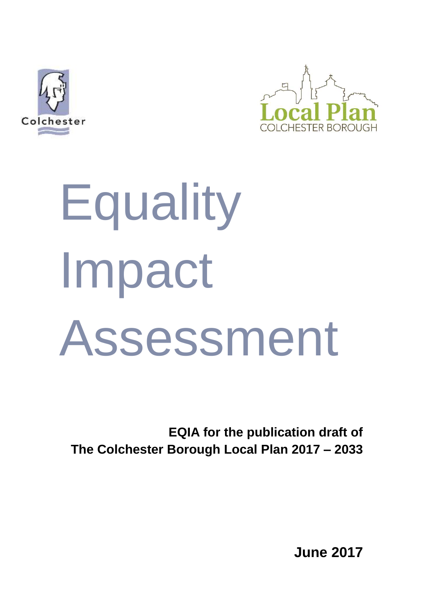



# **Equality** Impact Assessment

**EQIA for the publication draft of The Colchester Borough Local Plan 2017 – 2033**

**June 2017**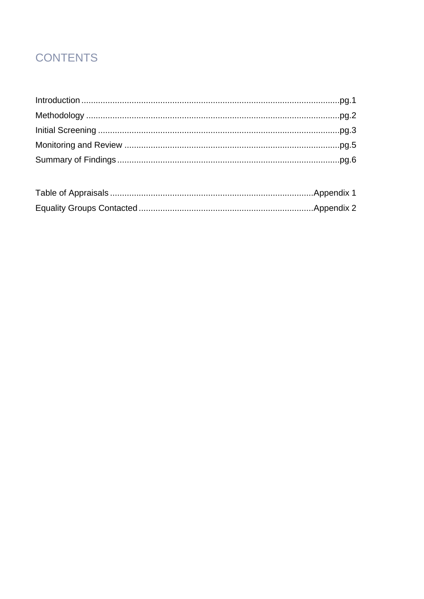# **CONTENTS**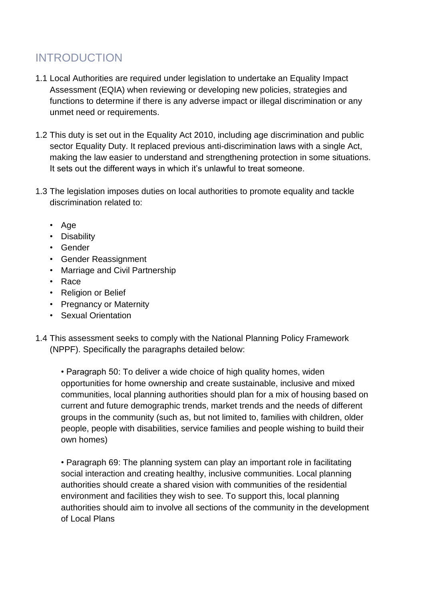# INTRODUCTION

- 1.1 Local Authorities are required under legislation to undertake an Equality Impact Assessment (EQIA) when reviewing or developing new policies, strategies and functions to determine if there is any adverse impact or illegal discrimination or any unmet need or requirements.
- 1.2 This duty is set out in the Equality Act 2010, including age discrimination and public sector Equality Duty. It replaced previous anti-discrimination laws with a single Act, making the law easier to understand and strengthening protection in some situations. It sets out the different ways in which it's unlawful to treat someone.
- 1.3 The legislation imposes duties on local authorities to promote equality and tackle discrimination related to:
	- Age
	- Disability
	- Gender
	- Gender Reassignment
	- Marriage and Civil Partnership
	- Race
	- Religion or Belief
	- Pregnancy or Maternity
	- Sexual Orientation
- 1.4 This assessment seeks to comply with the National Planning Policy Framework (NPPF). Specifically the paragraphs detailed below:

• Paragraph 50: To deliver a wide choice of high quality homes, widen opportunities for home ownership and create sustainable, inclusive and mixed communities, local planning authorities should plan for a mix of housing based on current and future demographic trends, market trends and the needs of different groups in the community (such as, but not limited to, families with children, older people, people with disabilities, service families and people wishing to build their own homes)

• Paragraph 69: The planning system can play an important role in facilitating social interaction and creating healthy, inclusive communities. Local planning authorities should create a shared vision with communities of the residential environment and facilities they wish to see. To support this, local planning authorities should aim to involve all sections of the community in the development of Local Plans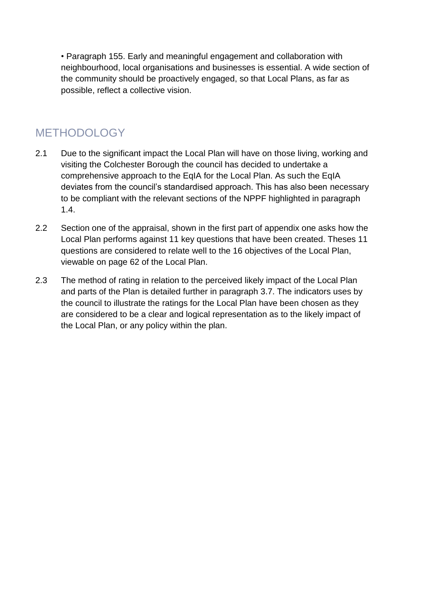• Paragraph 155. Early and meaningful engagement and collaboration with neighbourhood, local organisations and businesses is essential. A wide section of the community should be proactively engaged, so that Local Plans, as far as possible, reflect a collective vision.

## **METHODOLOGY**

- 2.1 Due to the significant impact the Local Plan will have on those living, working and visiting the Colchester Borough the council has decided to undertake a comprehensive approach to the EqIA for the Local Plan. As such the EqIA deviates from the council's standardised approach. This has also been necessary to be compliant with the relevant sections of the NPPF highlighted in paragraph 1.4.
- 2.2 Section one of the appraisal, shown in the first part of appendix one asks how the Local Plan performs against 11 key questions that have been created. Theses 11 questions are considered to relate well to the 16 objectives of the Local Plan, viewable on page 62 of the Local Plan.
- 2.3 The method of rating in relation to the perceived likely impact of the Local Plan and parts of the Plan is detailed further in paragraph 3.7. The indicators uses by the council to illustrate the ratings for the Local Plan have been chosen as they are considered to be a clear and logical representation as to the likely impact of the Local Plan, or any policy within the plan.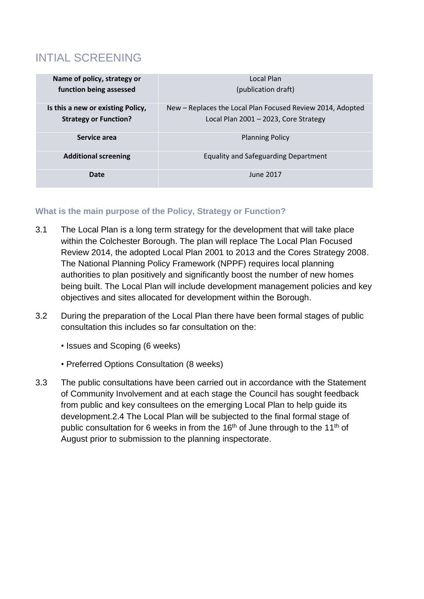# INTIAL SCREENING

| Name of policy, strategy or<br>function being assessed            | Local Plan<br>(publication draft)                                                                   |
|-------------------------------------------------------------------|-----------------------------------------------------------------------------------------------------|
| Is this a new or existing Policy,<br><b>Strategy or Function?</b> | New – Replaces the Local Plan Focused Review 2014, Adopted<br>Local Plan 2001 - 2023, Core Strategy |
| Service area                                                      | <b>Planning Policy</b>                                                                              |
| <b>Additional screening</b>                                       | <b>Equality and Safeguarding Department</b>                                                         |
| Date                                                              | June 2017                                                                                           |

#### **What is the main purpose of the Policy, Strategy or Function?**

- 3.1 The Local Plan is a long term strategy for the development that will take place within the Colchester Borough. The plan will replace The Local Plan Focused Review 2014, the adopted Local Plan 2001 to 2013 and the Cores Strategy 2008. The National Planning Policy Framework (NPPF) requires local planning authorities to plan positively and significantly boost the number of new homes being built. The Local Plan will include development management policies and key objectives and sites allocated for development within the Borough.
- 3.2 During the preparation of the Local Plan there have been formal stages of public consultation this includes so far consultation on the:
	- Issues and Scoping (6 weeks)
	- Preferred Options Consultation (8 weeks)
- 3.3 The public consultations have been carried out in accordance with the Statement of Community Involvement and at each stage the Council has sought feedback from public and key consultees on the emerging Local Plan to help guide its development.2.4 The Local Plan will be subjected to the final formal stage of public consultation for 6 weeks in from the 16<sup>th</sup> of June through to the 11<sup>th</sup> of August prior to submission to the planning inspectorate.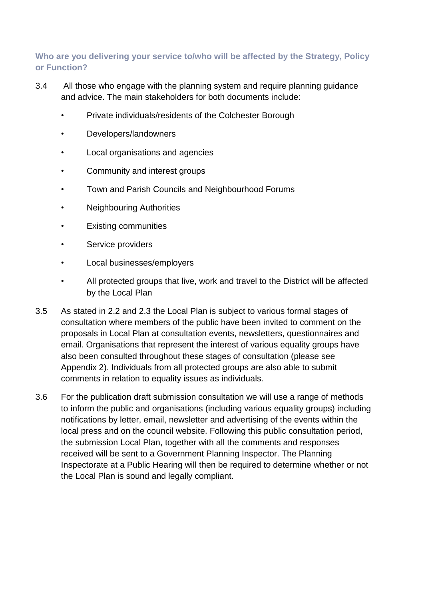#### **Who are you delivering your service to/who will be affected by the Strategy, Policy or Function?**

- 3.4 All those who engage with the planning system and require planning guidance and advice. The main stakeholders for both documents include:
	- Private individuals/residents of the Colchester Borough
	- Developers/landowners
	- Local organisations and agencies
	- Community and interest groups
	- Town and Parish Councils and Neighbourhood Forums
	- Neighbouring Authorities
	- Existing communities
	- Service providers
	- Local businesses/employers
	- All protected groups that live, work and travel to the District will be affected by the Local Plan
- 3.5 As stated in 2.2 and 2.3 the Local Plan is subject to various formal stages of consultation where members of the public have been invited to comment on the proposals in Local Plan at consultation events, newsletters, questionnaires and email. Organisations that represent the interest of various equality groups have also been consulted throughout these stages of consultation (please see Appendix 2). Individuals from all protected groups are also able to submit comments in relation to equality issues as individuals.
- 3.6 For the publication draft submission consultation we will use a range of methods to inform the public and organisations (including various equality groups) including notifications by letter, email, newsletter and advertising of the events within the local press and on the council website. Following this public consultation period, the submission Local Plan, together with all the comments and responses received will be sent to a Government Planning Inspector. The Planning Inspectorate at a Public Hearing will then be required to determine whether or not the Local Plan is sound and legally compliant.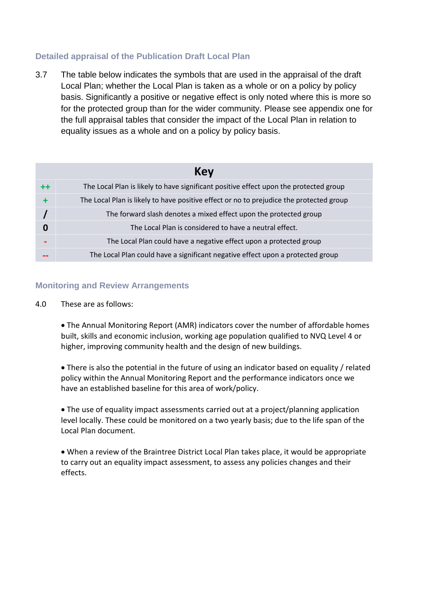#### **Detailed appraisal of the Publication Draft Local Plan**

3.7 The table below indicates the symbols that are used in the appraisal of the draft Local Plan; whether the Local Plan is taken as a whole or on a policy by policy basis. Significantly a positive or negative effect is only noted where this is more so for the protected group than for the wider community. Please see appendix one for the full appraisal tables that consider the impact of the Local Plan in relation to equality issues as a whole and on a policy by policy basis.

|             | Key                                                                                     |  |  |  |  |  |  |  |  |
|-------------|-----------------------------------------------------------------------------------------|--|--|--|--|--|--|--|--|
| $^{\rm ++}$ | The Local Plan is likely to have significant positive effect upon the protected group   |  |  |  |  |  |  |  |  |
|             | The Local Plan is likely to have positive effect or no to prejudice the protected group |  |  |  |  |  |  |  |  |
|             | The forward slash denotes a mixed effect upon the protected group                       |  |  |  |  |  |  |  |  |
| 0           | The Local Plan is considered to have a neutral effect.                                  |  |  |  |  |  |  |  |  |
|             | The Local Plan could have a negative effect upon a protected group                      |  |  |  |  |  |  |  |  |
|             | The Local Plan could have a significant negative effect upon a protected group          |  |  |  |  |  |  |  |  |

#### **Monitoring and Review Arrangements**

4.0 These are as follows:

 The Annual Monitoring Report (AMR) indicators cover the number of affordable homes built, skills and economic inclusion, working age population qualified to NVQ Level 4 or higher, improving community health and the design of new buildings.

 There is also the potential in the future of using an indicator based on equality / related policy within the Annual Monitoring Report and the performance indicators once we have an established baseline for this area of work/policy.

 The use of equality impact assessments carried out at a project/planning application level locally. These could be monitored on a two yearly basis; due to the life span of the Local Plan document.

 When a review of the Braintree District Local Plan takes place, it would be appropriate to carry out an equality impact assessment, to assess any policies changes and their effects.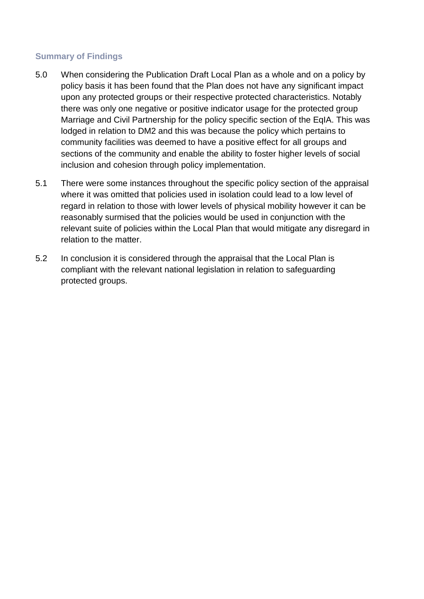#### **Summary of Findings**

- 5.0 When considering the Publication Draft Local Plan as a whole and on a policy by policy basis it has been found that the Plan does not have any significant impact upon any protected groups or their respective protected characteristics. Notably there was only one negative or positive indicator usage for the protected group Marriage and Civil Partnership for the policy specific section of the EqIA. This was lodged in relation to DM2 and this was because the policy which pertains to community facilities was deemed to have a positive effect for all groups and sections of the community and enable the ability to foster higher levels of social inclusion and cohesion through policy implementation.
- 5.1 There were some instances throughout the specific policy section of the appraisal where it was omitted that policies used in isolation could lead to a low level of regard in relation to those with lower levels of physical mobility however it can be reasonably surmised that the policies would be used in conjunction with the relevant suite of policies within the Local Plan that would mitigate any disregard in relation to the matter.
- 5.2 In conclusion it is considered through the appraisal that the Local Plan is compliant with the relevant national legislation in relation to safeguarding protected groups.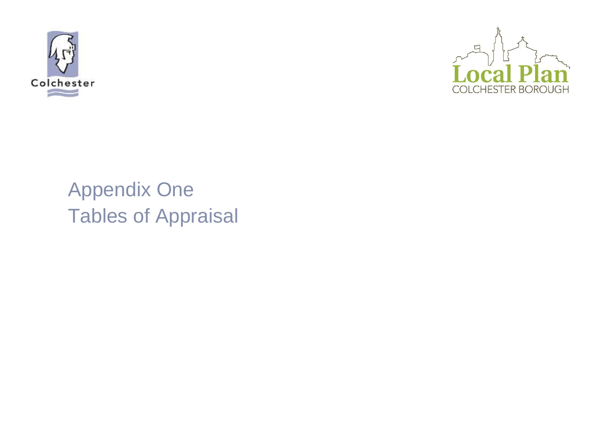



# Appendix One Tables of Appraisal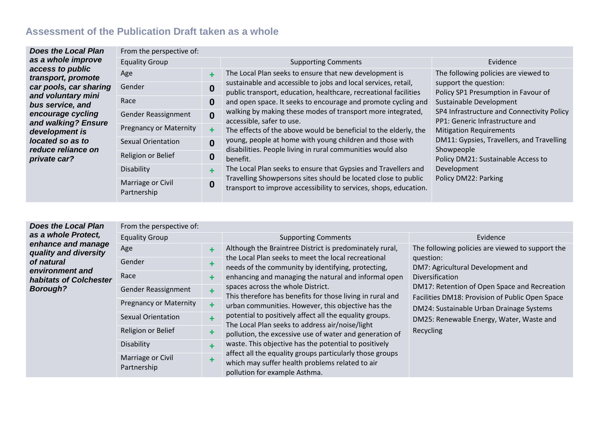#### **Assessment of the Publication Draft taken as a whole**

| <b>Does the Local Plan</b>             | From the perspective of:         |                  |                                                                                                                                                                                                                                                                                                                                                                                                                                                                                                            |                                                                   |                                                              |
|----------------------------------------|----------------------------------|------------------|------------------------------------------------------------------------------------------------------------------------------------------------------------------------------------------------------------------------------------------------------------------------------------------------------------------------------------------------------------------------------------------------------------------------------------------------------------------------------------------------------------|-------------------------------------------------------------------|--------------------------------------------------------------|
| as a whole improve                     | <b>Equality Group</b>            |                  | <b>Supporting Comments</b>                                                                                                                                                                                                                                                                                                                                                                                                                                                                                 | Evidence                                                          |                                                              |
| access to public<br>transport, promote | Age                              | 4                | The Local Plan seeks to ensure that new development is                                                                                                                                                                                                                                                                                                                                                                                                                                                     | The following policies are viewed to                              |                                                              |
| car pools, car sharing                 | Gender                           | $\boldsymbol{0}$ | sustainable and accessible to jobs and local services, retail,<br>public transport, education, healthcare, recreational facilities<br>and open space. It seeks to encourage and promote cycling and<br>walking by making these modes of transport more integrated,<br>accessible, safer to use.<br>The effects of the above would be beneficial to the elderly, the<br>young, people at home with young children and those with<br>disabilities. People living in rural communities would also<br>benefit. |                                                                   | support the question:<br>Policy SP1 Presumption in Favour of |
| and voluntary mini<br>bus service, and | Race                             | 0                |                                                                                                                                                                                                                                                                                                                                                                                                                                                                                                            | Sustainable Development                                           |                                                              |
| encourage cycling                      | Gender Reassignment              | $\mathbf{0}$     |                                                                                                                                                                                                                                                                                                                                                                                                                                                                                                            | PP1: Generic Infrastructure and<br><b>Mitigation Requirements</b> | SP4 Infrastructure and Connectivity Policy                   |
| and walking? Ensure<br>development is  | <b>Pregnancy or Maternity</b>    |                  |                                                                                                                                                                                                                                                                                                                                                                                                                                                                                                            |                                                                   |                                                              |
| located so as to                       | <b>Sexual Orientation</b>        | $\mathbf{0}$     |                                                                                                                                                                                                                                                                                                                                                                                                                                                                                                            | DM11: Gypsies, Travellers, and Travelling                         |                                                              |
| reduce reliance on<br>private car?     | Religion or Belief               | 0                |                                                                                                                                                                                                                                                                                                                                                                                                                                                                                                            |                                                                   | Showpeople<br>Policy DM21: Sustainable Access to             |
|                                        | Disability                       | ٠                | The Local Plan seeks to ensure that Gypsies and Travellers and                                                                                                                                                                                                                                                                                                                                                                                                                                             | Development                                                       |                                                              |
|                                        | Marriage or Civil<br>Partnership | $\mathbf 0$      | Travelling Showpersons sites should be located close to public<br>transport to improve accessibility to services, shops, education.                                                                                                                                                                                                                                                                                                                                                                        | Policy DM22: Parking                                              |                                                              |

*Does the Local Plan as a whole Protect, enhance and manage quality and diversity of natural environment and habitats of Colchester Borough?* From the perspective of: Equality Group **Supporting Comments** Evidence Evidence Age **+** Although the Braintree District is predominately rural, the Local Plan seeks to meet the local recreational needs of the community by identifying, protecting, enhancing and managing the natural and informal open spaces across the whole District. This therefore has benefits for those living in rural and urban communities. However, this objective has the potential to positively affect all the equality groups. The Local Plan seeks to address air/noise/light pollution, the excessive use of water and generation of waste. This objective has the potential to positively affect all the equality groups particularly those groups which may suffer health problems related to air pollution for example Asthma. The following policies are viewed to support the question: DM7: Agricultural Development and Diversification DM17: Retention of Open Space and Recreation Facilities DM18: Provision of Public Open Space DM24: Sustainable Urban Drainage Systems DM25: Renewable Energy, Water, Waste and Recycling Gender **+** Race **+** Gender Reassignment + Pregnancy or Maternity **+** Sexual Orientation **+** Religion or Belief **+** Disability **+** Marriage or Civil Partnership **+**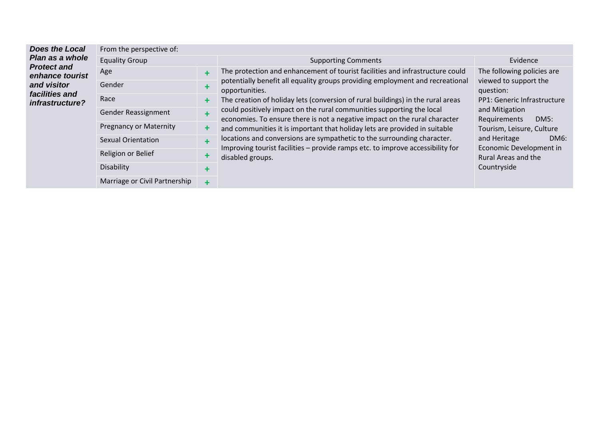| <b>Does the Local</b>                 | From the perspective of:      |           |                                                                                                                                                                                                                                                                                                                                                                                                                                                                                                                                                                                                                                                                                           |                                                                                                                    |  |
|---------------------------------------|-------------------------------|-----------|-------------------------------------------------------------------------------------------------------------------------------------------------------------------------------------------------------------------------------------------------------------------------------------------------------------------------------------------------------------------------------------------------------------------------------------------------------------------------------------------------------------------------------------------------------------------------------------------------------------------------------------------------------------------------------------------|--------------------------------------------------------------------------------------------------------------------|--|
| Plan as a whole                       | <b>Equality Group</b>         |           | <b>Supporting Comments</b>                                                                                                                                                                                                                                                                                                                                                                                                                                                                                                                                                                                                                                                                | Evidence                                                                                                           |  |
| <b>Protect and</b><br>enhance tourist | Age                           | ٠         | The protection and enhancement of tourist facilities and infrastructure could<br>potentially benefit all equality groups providing employment and recreational<br>opportunities.<br>The creation of holiday lets (conversion of rural buildings) in the rural areas<br>could positively impact on the rural communities supporting the local<br>economies. To ensure there is not a negative impact on the rural character<br>and communities it is important that holiday lets are provided in suitable<br>locations and conversions are sympathetic to the surrounding character.<br>Improving tourist facilities - provide ramps etc. to improve accessibility for<br>disabled groups. | The following policies are                                                                                         |  |
| and visitor<br>facilities and         | Gender                        | +         |                                                                                                                                                                                                                                                                                                                                                                                                                                                                                                                                                                                                                                                                                           | viewed to support the<br>question:<br>PP1: Generic Infrastructure                                                  |  |
| infrastructure?                       | Race                          | ٠         |                                                                                                                                                                                                                                                                                                                                                                                                                                                                                                                                                                                                                                                                                           |                                                                                                                    |  |
|                                       | Gender Reassignment           | $\ddot{}$ |                                                                                                                                                                                                                                                                                                                                                                                                                                                                                                                                                                                                                                                                                           | and Mitigation<br>Requirements<br>DM5:                                                                             |  |
|                                       | <b>Pregnancy or Maternity</b> | +         |                                                                                                                                                                                                                                                                                                                                                                                                                                                                                                                                                                                                                                                                                           | Tourism, Leisure, Culture<br>and Heritage<br>DM6:<br>Economic Development in<br>Rural Areas and the<br>Countryside |  |
|                                       | <b>Sexual Orientation</b>     | $\ddot{}$ |                                                                                                                                                                                                                                                                                                                                                                                                                                                                                                                                                                                                                                                                                           |                                                                                                                    |  |
|                                       | Religion or Belief            | ٠         |                                                                                                                                                                                                                                                                                                                                                                                                                                                                                                                                                                                                                                                                                           |                                                                                                                    |  |
|                                       | Disability                    | ٠         |                                                                                                                                                                                                                                                                                                                                                                                                                                                                                                                                                                                                                                                                                           |                                                                                                                    |  |
|                                       | Marriage or Civil Partnership | $\ddot{}$ |                                                                                                                                                                                                                                                                                                                                                                                                                                                                                                                                                                                                                                                                                           |                                                                                                                    |  |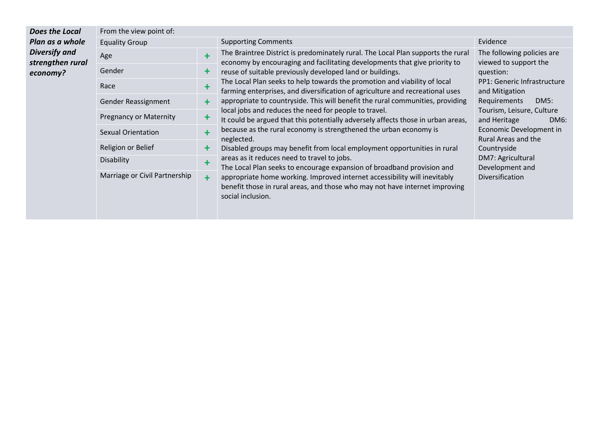| Does the Local                           | From the view point of:       |            |                                                                                                                                                                                                                                                                                                                                                                                                                                                                                                                                                                                                                                                                                   |                                                                                                                                                            |  |  |
|------------------------------------------|-------------------------------|------------|-----------------------------------------------------------------------------------------------------------------------------------------------------------------------------------------------------------------------------------------------------------------------------------------------------------------------------------------------------------------------------------------------------------------------------------------------------------------------------------------------------------------------------------------------------------------------------------------------------------------------------------------------------------------------------------|------------------------------------------------------------------------------------------------------------------------------------------------------------|--|--|
| Plan as a whole                          | <b>Equality Group</b>         |            | <b>Supporting Comments</b>                                                                                                                                                                                                                                                                                                                                                                                                                                                                                                                                                                                                                                                        | Evidence                                                                                                                                                   |  |  |
| <b>Diversify and</b><br>strengthen rural | Age                           | $\ddot{}$  | The Braintree District is predominately rural. The Local Plan supports the rural<br>economy by encouraging and facilitating developments that give priority to                                                                                                                                                                                                                                                                                                                                                                                                                                                                                                                    | The following policies are<br>viewed to support the                                                                                                        |  |  |
| economy?                                 | Gender                        | ╋          | reuse of suitable previously developed land or buildings.                                                                                                                                                                                                                                                                                                                                                                                                                                                                                                                                                                                                                         | question:                                                                                                                                                  |  |  |
|                                          | Race                          | $\ddot{}$  | The Local Plan seeks to help towards the promotion and viability of local<br>farming enterprises, and diversification of agriculture and recreational uses<br>appropriate to countryside. This will benefit the rural communities, providing<br>local jobs and reduces the need for people to travel.<br>It could be argued that this potentially adversely affects those in urban areas,<br>because as the rural economy is strengthened the urban economy is<br>neglected.<br>Disabled groups may benefit from local employment opportunities in rural<br>areas as it reduces need to travel to jobs.<br>The Local Plan seeks to encourage expansion of broadband provision and | PP1: Generic Infrastructure<br>and Mitigation                                                                                                              |  |  |
|                                          | Gender Reassignment           | $\ddot{}$  |                                                                                                                                                                                                                                                                                                                                                                                                                                                                                                                                                                                                                                                                                   | Requirements<br><b>DM5:</b>                                                                                                                                |  |  |
|                                          | <b>Pregnancy or Maternity</b> | ╋          |                                                                                                                                                                                                                                                                                                                                                                                                                                                                                                                                                                                                                                                                                   | Tourism, Leisure, Culture<br>and Heritage<br>DM6:<br>Economic Development in<br>Rural Areas and the<br>Countryside<br>DM7: Agricultural<br>Development and |  |  |
|                                          | <b>Sexual Orientation</b>     | $\ddagger$ |                                                                                                                                                                                                                                                                                                                                                                                                                                                                                                                                                                                                                                                                                   |                                                                                                                                                            |  |  |
|                                          | Religion or Belief            | ╋          |                                                                                                                                                                                                                                                                                                                                                                                                                                                                                                                                                                                                                                                                                   |                                                                                                                                                            |  |  |
|                                          | <b>Disability</b>             | $\ddot{}$  |                                                                                                                                                                                                                                                                                                                                                                                                                                                                                                                                                                                                                                                                                   |                                                                                                                                                            |  |  |
|                                          | Marriage or Civil Partnership | $\ddagger$ | appropriate home working. Improved internet accessibility will inevitably<br>benefit those in rural areas, and those who may not have internet improving<br>social inclusion.                                                                                                                                                                                                                                                                                                                                                                                                                                                                                                     | <b>Diversification</b>                                                                                                                                     |  |  |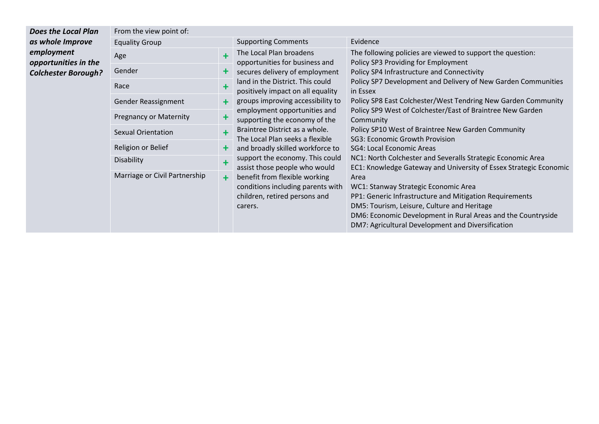| Does the Local Plan                | From the view point of:       |     |                                                                                                                                                                                                                                                                                                                                                              |                                                                                                                                                                                                                                                                             |  |  |
|------------------------------------|-------------------------------|-----|--------------------------------------------------------------------------------------------------------------------------------------------------------------------------------------------------------------------------------------------------------------------------------------------------------------------------------------------------------------|-----------------------------------------------------------------------------------------------------------------------------------------------------------------------------------------------------------------------------------------------------------------------------|--|--|
| as whole Improve                   | <b>Equality Group</b>         |     | <b>Supporting Comments</b>                                                                                                                                                                                                                                                                                                                                   | Evidence                                                                                                                                                                                                                                                                    |  |  |
| employment<br>opportunities in the | Age                           |     | The Local Plan broadens<br>opportunities for business and                                                                                                                                                                                                                                                                                                    | The following policies are viewed to support the question:<br>Policy SP3 Providing for Employment                                                                                                                                                                           |  |  |
| <b>Colchester Borough?</b>         | Gender                        |     | secures delivery of employment                                                                                                                                                                                                                                                                                                                               | Policy SP4 Infrastructure and Connectivity                                                                                                                                                                                                                                  |  |  |
|                                    | Race                          |     | land in the District. This could<br>positively impact on all equality                                                                                                                                                                                                                                                                                        | Policy SP7 Development and Delivery of New Garden Communities<br>in Essex                                                                                                                                                                                                   |  |  |
|                                    | Gender Reassignment           | $+$ | groups improving accessibility to                                                                                                                                                                                                                                                                                                                            | Policy SP8 East Colchester/West Tendring New Garden Community                                                                                                                                                                                                               |  |  |
|                                    | <b>Pregnancy or Maternity</b> |     | employment opportunities and<br>supporting the economy of the<br>Braintree District as a whole.<br>The Local Plan seeks a flexible<br>and broadly skilled workforce to<br>support the economy. This could<br>assist those people who would<br>benefit from flexible working<br>conditions including parents with<br>children, retired persons and<br>carers. | Policy SP9 West of Colchester/East of Braintree New Garden<br>Community                                                                                                                                                                                                     |  |  |
|                                    | <b>Sexual Orientation</b>     |     |                                                                                                                                                                                                                                                                                                                                                              | Policy SP10 West of Braintree New Garden Community<br>SG3: Economic Growth Provision<br>SG4: Local Economic Areas                                                                                                                                                           |  |  |
|                                    | Religion or Belief            |     |                                                                                                                                                                                                                                                                                                                                                              |                                                                                                                                                                                                                                                                             |  |  |
|                                    | Disability                    | 4   |                                                                                                                                                                                                                                                                                                                                                              | NC1: North Colchester and Severalls Strategic Economic Area<br>EC1: Knowledge Gateway and University of Essex Strategic Economic                                                                                                                                            |  |  |
|                                    | Marriage or Civil Partnership | $+$ |                                                                                                                                                                                                                                                                                                                                                              | Area<br>WC1: Stanway Strategic Economic Area<br>PP1: Generic Infrastructure and Mitigation Requirements<br>DM5: Tourism, Leisure, Culture and Heritage<br>DM6: Economic Development in Rural Areas and the Countryside<br>DM7: Agricultural Development and Diversification |  |  |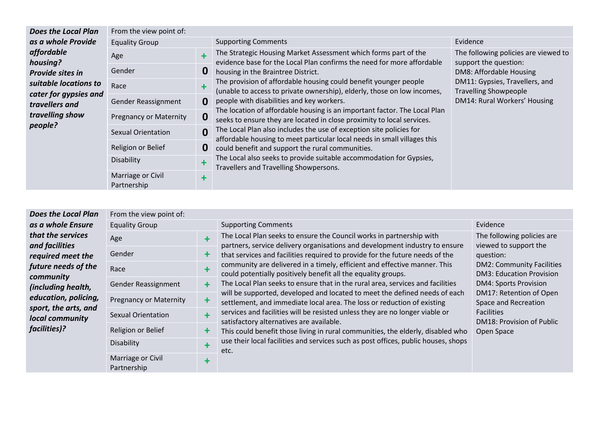| <b>Does the Local Plan</b>                     | From the view point of:          |                                                                                                               |                                                                                                                                                                                                                                                                                                                                                                                                                                                                                                                                                                                                                                                                                                                                                                                                    |                                                                |                                      |
|------------------------------------------------|----------------------------------|---------------------------------------------------------------------------------------------------------------|----------------------------------------------------------------------------------------------------------------------------------------------------------------------------------------------------------------------------------------------------------------------------------------------------------------------------------------------------------------------------------------------------------------------------------------------------------------------------------------------------------------------------------------------------------------------------------------------------------------------------------------------------------------------------------------------------------------------------------------------------------------------------------------------------|----------------------------------------------------------------|--------------------------------------|
| as a whole Provide                             | <b>Equality Group</b>            |                                                                                                               | <b>Supporting Comments</b>                                                                                                                                                                                                                                                                                                                                                                                                                                                                                                                                                                                                                                                                                                                                                                         | Evidence                                                       |                                      |
| affordable<br>housing?                         | Age                              |                                                                                                               | The Strategic Housing Market Assessment which forms part of the<br>evidence base for the Local Plan confirms the need for more affordable<br>support the question:<br>housing in the Braintree District.<br>The provision of affordable housing could benefit younger people<br>(unable to access to private ownership), elderly, those on low incomes,<br><b>Travelling Showpeople</b><br>people with disabilities and key workers.<br>The location of affordable housing is an important factor. The Local Plan<br>seeks to ensure they are located in close proximity to local services.<br>The Local Plan also includes the use of exception site policies for<br>affordable housing to meet particular local needs in small villages this<br>could benefit and support the rural communities. | 0<br>DM8: Affordable Housing<br>DM11: Gypsies, Travellers, and | The following policies are viewed to |
| Provide sites in                               | Gender                           |                                                                                                               |                                                                                                                                                                                                                                                                                                                                                                                                                                                                                                                                                                                                                                                                                                                                                                                                    |                                                                |                                      |
| suitable locations to<br>cater for gypsies and | Race                             | $\ddot{}$                                                                                                     |                                                                                                                                                                                                                                                                                                                                                                                                                                                                                                                                                                                                                                                                                                                                                                                                    |                                                                |                                      |
| travellers and                                 | Gender Reassignment              | $\bf{0}$                                                                                                      |                                                                                                                                                                                                                                                                                                                                                                                                                                                                                                                                                                                                                                                                                                                                                                                                    | DM14: Rural Workers' Housing                                   |                                      |
| travelling show<br>people?                     | <b>Pregnancy or Maternity</b>    | $\boldsymbol{0}$                                                                                              |                                                                                                                                                                                                                                                                                                                                                                                                                                                                                                                                                                                                                                                                                                                                                                                                    |                                                                |                                      |
|                                                | Sexual Orientation               | $\mathbf 0$                                                                                                   |                                                                                                                                                                                                                                                                                                                                                                                                                                                                                                                                                                                                                                                                                                                                                                                                    |                                                                |                                      |
|                                                | Religion or Belief               | $\bf{0}$                                                                                                      |                                                                                                                                                                                                                                                                                                                                                                                                                                                                                                                                                                                                                                                                                                                                                                                                    |                                                                |                                      |
|                                                | Disability<br>٠                  | The Local also seeks to provide suitable accommodation for Gypsies,<br>Travellers and Travelling Showpersons. |                                                                                                                                                                                                                                                                                                                                                                                                                                                                                                                                                                                                                                                                                                                                                                                                    |                                                                |                                      |
|                                                | Marriage or Civil<br>Partnership | ╋                                                                                                             |                                                                                                                                                                                                                                                                                                                                                                                                                                                                                                                                                                                                                                                                                                                                                                                                    |                                                                |                                      |

| <b>Does the Local Plan</b>                   | From the view point of:          |                      |                                                                                                                                                                                                                                                                                                                                                                                                                                                                                                                                                                                                                                                                                                                                                                                    |                                                                                                                                                                                                                                     |  |
|----------------------------------------------|----------------------------------|----------------------|------------------------------------------------------------------------------------------------------------------------------------------------------------------------------------------------------------------------------------------------------------------------------------------------------------------------------------------------------------------------------------------------------------------------------------------------------------------------------------------------------------------------------------------------------------------------------------------------------------------------------------------------------------------------------------------------------------------------------------------------------------------------------------|-------------------------------------------------------------------------------------------------------------------------------------------------------------------------------------------------------------------------------------|--|
| as a whole Ensure                            | <b>Equality Group</b>            |                      | <b>Supporting Comments</b>                                                                                                                                                                                                                                                                                                                                                                                                                                                                                                                                                                                                                                                                                                                                                         | Evidence                                                                                                                                                                                                                            |  |
| that the services<br>and facilities          | Age                              | ÷                    | The Local Plan seeks to ensure the Council works in partnership with<br>partners, service delivery organisations and development industry to ensure                                                                                                                                                                                                                                                                                                                                                                                                                                                                                                                                                                                                                                | The following policies are<br>viewed to support the                                                                                                                                                                                 |  |
| required meet the                            | Gender                           | ÷                    | that services and facilities required to provide for the future needs of the<br>community are delivered in a timely, efficient and effective manner. This<br>could potentially positively benefit all the equality groups.<br>The Local Plan seeks to ensure that in the rural area, services and facilities<br>will be supported, developed and located to meet the defined needs of each<br>settlement, and immediate local area. The loss or reduction of existing<br>services and facilities will be resisted unless they are no longer viable or<br>satisfactory alternatives are available.<br>This could benefit those living in rural communities, the elderly, disabled who<br>use their local facilities and services such as post offices, public houses, shops<br>etc. | question:<br><b>DM2: Community Facilities</b><br><b>DM3: Education Provision</b><br><b>DM4: Sports Provision</b><br>DM17: Retention of Open<br>Space and Recreation<br><b>Facilities</b><br>DM18: Provision of Public<br>Open Space |  |
| future needs of the<br>community             | Race                             |                      |                                                                                                                                                                                                                                                                                                                                                                                                                                                                                                                                                                                                                                                                                                                                                                                    |                                                                                                                                                                                                                                     |  |
| (including health,                           | Gender Reassignment              | $\ddot{\phantom{1}}$ |                                                                                                                                                                                                                                                                                                                                                                                                                                                                                                                                                                                                                                                                                                                                                                                    |                                                                                                                                                                                                                                     |  |
| education, policing,<br>sport, the arts, and | <b>Pregnancy or Maternity</b>    | $\ddot{\phantom{1}}$ |                                                                                                                                                                                                                                                                                                                                                                                                                                                                                                                                                                                                                                                                                                                                                                                    |                                                                                                                                                                                                                                     |  |
| local community                              | <b>Sexual Orientation</b>        | ÷                    |                                                                                                                                                                                                                                                                                                                                                                                                                                                                                                                                                                                                                                                                                                                                                                                    |                                                                                                                                                                                                                                     |  |
| facilities)?                                 | Religion or Belief               | $\ddot{\phantom{1}}$ |                                                                                                                                                                                                                                                                                                                                                                                                                                                                                                                                                                                                                                                                                                                                                                                    |                                                                                                                                                                                                                                     |  |
|                                              | Disability                       | ٠                    |                                                                                                                                                                                                                                                                                                                                                                                                                                                                                                                                                                                                                                                                                                                                                                                    |                                                                                                                                                                                                                                     |  |
|                                              | Marriage or Civil<br>Partnership | ٠                    |                                                                                                                                                                                                                                                                                                                                                                                                                                                                                                                                                                                                                                                                                                                                                                                    |                                                                                                                                                                                                                                     |  |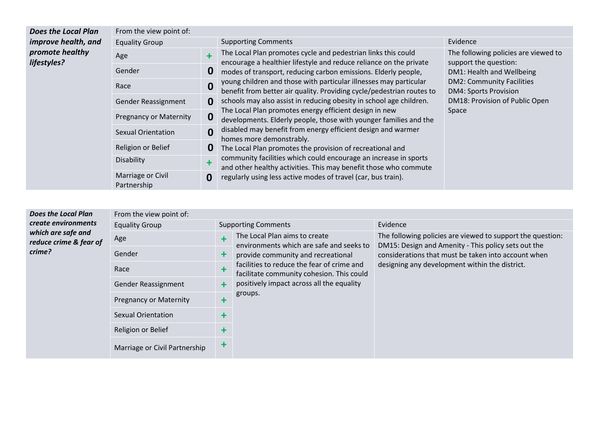| <b>Does the Local Plan</b>     | From the view point of:          |              |                                                                                                                                                                                                                                                                                                                                                                                                                                                                                                                                                                                                                                                                                                                                                                                                                                                                                                                             |                                                               |                              |
|--------------------------------|----------------------------------|--------------|-----------------------------------------------------------------------------------------------------------------------------------------------------------------------------------------------------------------------------------------------------------------------------------------------------------------------------------------------------------------------------------------------------------------------------------------------------------------------------------------------------------------------------------------------------------------------------------------------------------------------------------------------------------------------------------------------------------------------------------------------------------------------------------------------------------------------------------------------------------------------------------------------------------------------------|---------------------------------------------------------------|------------------------------|
| improve health, and            | <b>Equality Group</b>            |              | <b>Supporting Comments</b>                                                                                                                                                                                                                                                                                                                                                                                                                                                                                                                                                                                                                                                                                                                                                                                                                                                                                                  | Evidence                                                      |                              |
| promote healthy<br>lifestyles? | Age                              |              | The Local Plan promotes cycle and pedestrian links this could<br>encourage a healthier lifestyle and reduce reliance on the private<br>modes of transport, reducing carbon emissions. Elderly people,<br>young children and those with particular illnesses may particular<br>benefit from better air quality. Providing cycle/pedestrian routes to<br>schools may also assist in reducing obesity in school age children.<br>The Local Plan promotes energy efficient design in new<br>developments. Elderly people, those with younger families and the<br>disabled may benefit from energy efficient design and warmer<br>homes more demonstrably.<br>The Local Plan promotes the provision of recreational and<br>community facilities which could encourage an increase in sports<br>and other healthy activities. This may benefit those who commute<br>regularly using less active modes of travel (car, bus train). | The following policies are viewed to<br>support the question: |                              |
|                                | Gender                           | 0            |                                                                                                                                                                                                                                                                                                                                                                                                                                                                                                                                                                                                                                                                                                                                                                                                                                                                                                                             | DM1: Health and Wellbeing<br><b>DM2: Community Facilities</b> |                              |
|                                | Race                             | $\mathbf 0$  |                                                                                                                                                                                                                                                                                                                                                                                                                                                                                                                                                                                                                                                                                                                                                                                                                                                                                                                             |                                                               | <b>DM4: Sports Provision</b> |
|                                | Gender Reassignment              | 0            |                                                                                                                                                                                                                                                                                                                                                                                                                                                                                                                                                                                                                                                                                                                                                                                                                                                                                                                             | DM18: Provision of Public Open                                |                              |
|                                | <b>Pregnancy or Maternity</b>    | 0            |                                                                                                                                                                                                                                                                                                                                                                                                                                                                                                                                                                                                                                                                                                                                                                                                                                                                                                                             |                                                               | Space                        |
|                                | <b>Sexual Orientation</b>        | $\mathbf{0}$ |                                                                                                                                                                                                                                                                                                                                                                                                                                                                                                                                                                                                                                                                                                                                                                                                                                                                                                                             |                                                               |                              |
|                                | Religion or Belief               | 0            |                                                                                                                                                                                                                                                                                                                                                                                                                                                                                                                                                                                                                                                                                                                                                                                                                                                                                                                             |                                                               |                              |
|                                | Disability                       | 4            |                                                                                                                                                                                                                                                                                                                                                                                                                                                                                                                                                                                                                                                                                                                                                                                                                                                                                                                             |                                                               |                              |
|                                | Marriage or Civil<br>Partnership | 0            |                                                                                                                                                                                                                                                                                                                                                                                                                                                                                                                                                                                                                                                                                                                                                                                                                                                                                                                             |                                                               |                              |

#### *Does the Local Plan create environments which are safe and reduce crime & fear of crime?*

| From the view point of:       |        |                                                                                         |                                                                                                                   |  |  |  |
|-------------------------------|--------|-----------------------------------------------------------------------------------------|-------------------------------------------------------------------------------------------------------------------|--|--|--|
| <b>Equality Group</b>         |        | <b>Supporting Comments</b>                                                              | Evidence                                                                                                          |  |  |  |
| Age                           |        | The Local Plan aims to create<br>environments which are safe and seeks to               | The following policies are viewed to support the question:<br>DM15: Design and Amenity - This policy sets out the |  |  |  |
| Gender                        | ╋      | provide community and recreational                                                      | considerations that must be taken into account when                                                               |  |  |  |
| Race                          |        | facilities to reduce the fear of crime and<br>facilitate community cohesion. This could | designing any development within the district.                                                                    |  |  |  |
| Gender Reassignment           | $\div$ | positively impact across all the equality                                               |                                                                                                                   |  |  |  |
| <b>Pregnancy or Maternity</b> | ٠      | groups.                                                                                 |                                                                                                                   |  |  |  |
| <b>Sexual Orientation</b>     | ╉      |                                                                                         |                                                                                                                   |  |  |  |
| Religion or Belief            | ╉      |                                                                                         |                                                                                                                   |  |  |  |
| Marriage or Civil Partnership | ╋      |                                                                                         |                                                                                                                   |  |  |  |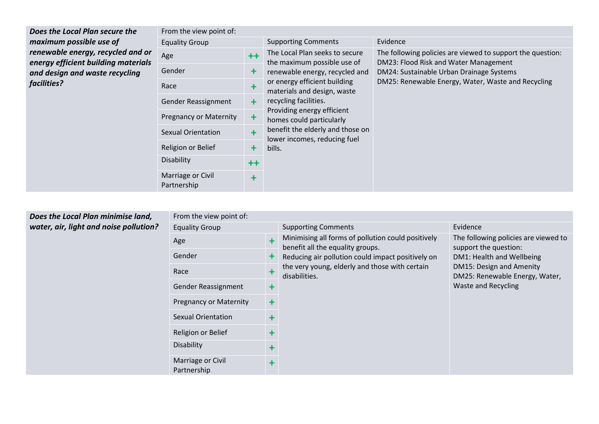| Does the Local Plan secure the                                           | From the view point of:          |           |                                                                  |                                                                                                     |  |  |  |  |
|--------------------------------------------------------------------------|----------------------------------|-----------|------------------------------------------------------------------|-----------------------------------------------------------------------------------------------------|--|--|--|--|
| maximum possible use of                                                  | <b>Equality Group</b>            |           | <b>Supporting Comments</b>                                       | Evidence                                                                                            |  |  |  |  |
| renewable energy, recycled and or<br>energy efficient building materials | Age                              | $++$      | The Local Plan seeks to secure<br>the maximum possible use of    | The following policies are viewed to support the question:<br>DM23: Flood Risk and Water Management |  |  |  |  |
| and design and waste recycling                                           | Gender                           | ╋         | renewable energy, recycled and                                   | DM24: Sustainable Urban Drainage Systems<br>DM25: Renewable Energy, Water, Waste and Recycling      |  |  |  |  |
| facilities?                                                              | Race                             |           | or energy efficient building<br>materials and design, waste      |                                                                                                     |  |  |  |  |
|                                                                          | Gender Reassignment              | +         | recycling facilities.<br>Providing energy efficient              |                                                                                                     |  |  |  |  |
|                                                                          | <b>Pregnancy or Maternity</b>    | ۰         | homes could particularly                                         |                                                                                                     |  |  |  |  |
|                                                                          | <b>Sexual Orientation</b>        |           | benefit the elderly and those on<br>lower incomes, reducing fuel |                                                                                                     |  |  |  |  |
|                                                                          | Religion or Belief               | ٠         | bills.                                                           |                                                                                                     |  |  |  |  |
|                                                                          | Disability                       | $++$      |                                                                  |                                                                                                     |  |  |  |  |
|                                                                          | Marriage or Civil<br>Partnership | $\ddot{}$ |                                                                  |                                                                                                     |  |  |  |  |

| Does the Local Plan minimise land,     |
|----------------------------------------|
| water, air, light and noise pollution? |

| From the view point of:          |            |                                                                                        |                                                               |
|----------------------------------|------------|----------------------------------------------------------------------------------------|---------------------------------------------------------------|
| <b>Equality Group</b>            |            | <b>Supporting Comments</b>                                                             | Evidence                                                      |
| Age                              | ÷          | Minimising all forms of pollution could positively<br>benefit all the equality groups. | The following policies are viewed to<br>support the question: |
| Gender                           | ╋          | Reducing air pollution could impact positively on                                      | DM1: Health and Wellbeing                                     |
| Race                             | ╋          | the very young, elderly and those with certain<br>disabilities.                        | DM15: Design and Amenity<br>DM25: Renewable Energy, Water,    |
| Gender Reassignment              | $\ddot{}$  |                                                                                        | <b>Waste and Recycling</b>                                    |
| <b>Pregnancy or Maternity</b>    | ╇          |                                                                                        |                                                               |
| <b>Sexual Orientation</b>        | ╇          |                                                                                        |                                                               |
| Religion or Belief               | $\ddagger$ |                                                                                        |                                                               |
| <b>Disability</b>                | ╇          |                                                                                        |                                                               |
| Marriage or Civil<br>Partnership | $\ddot{}$  |                                                                                        |                                                               |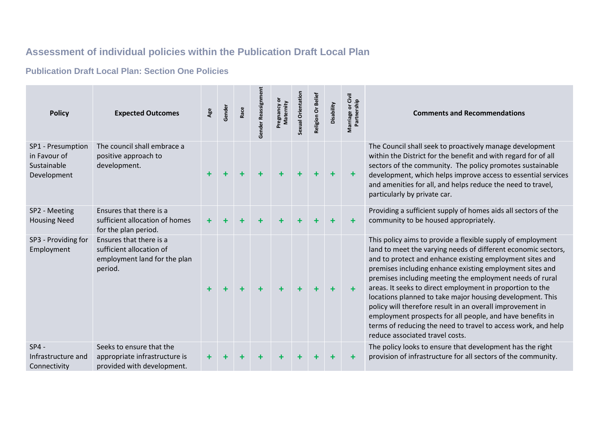## **Assessment of individual policies within the Publication Draft Local Plan**

#### **Publication Draft Local Plan: Section One Policies**

| <b>Policy</b>                                                   | <b>Expected Outcomes</b>                                                                       | Age       | Gender | Race | Gender Reassignr | Pregnancy or<br>Maternity | Sexual Orientation | Belief<br>Religion Or | Disability | Marriage or Civil<br>Partnership | <b>Comments and Recommendations</b>                                                                                                                                                                                                                                                                                                                                                                                                                                                                                                                                                                                                                                      |
|-----------------------------------------------------------------|------------------------------------------------------------------------------------------------|-----------|--------|------|------------------|---------------------------|--------------------|-----------------------|------------|----------------------------------|--------------------------------------------------------------------------------------------------------------------------------------------------------------------------------------------------------------------------------------------------------------------------------------------------------------------------------------------------------------------------------------------------------------------------------------------------------------------------------------------------------------------------------------------------------------------------------------------------------------------------------------------------------------------------|
| SP1 - Presumption<br>in Favour of<br>Sustainable<br>Development | The council shall embrace a<br>positive approach to<br>development.                            | $\ddot{}$ |        |      | $\ddot{}$        |                           |                    |                       | ٠          | $\ddot{}$                        | The Council shall seek to proactively manage development<br>within the District for the benefit and with regard for of all<br>sectors of the community. The policy promotes sustainable<br>development, which helps improve access to essential services<br>and amenities for all, and helps reduce the need to travel,<br>particularly by private car.                                                                                                                                                                                                                                                                                                                  |
| SP2 - Meeting<br><b>Housing Need</b>                            | Ensures that there is a<br>sufficient allocation of homes<br>for the plan period.              | $\ddot{}$ |        |      |                  |                           |                    |                       |            | ٠                                | Providing a sufficient supply of homes aids all sectors of the<br>community to be housed appropriately.                                                                                                                                                                                                                                                                                                                                                                                                                                                                                                                                                                  |
| SP3 - Providing for<br>Employment                               | Ensures that there is a<br>sufficient allocation of<br>employment land for the plan<br>period. |           |        |      | $\ddot{}$        |                           |                    |                       | ÷          | $\ddot{}$                        | This policy aims to provide a flexible supply of employment<br>land to meet the varying needs of different economic sectors,<br>and to protect and enhance existing employment sites and<br>premises including enhance existing employment sites and<br>premises including meeting the employment needs of rural<br>areas. It seeks to direct employment in proportion to the<br>locations planned to take major housing development. This<br>policy will therefore result in an overall improvement in<br>employment prospects for all people, and have benefits in<br>terms of reducing the need to travel to access work, and help<br>reduce associated travel costs. |
| $SP4 -$<br>Infrastructure and<br>Connectivity                   | Seeks to ensure that the<br>appropriate infrastructure is<br>provided with development.        |           |        |      |                  |                           |                    |                       |            |                                  | The policy looks to ensure that development has the right<br>provision of infrastructure for all sectors of the community.                                                                                                                                                                                                                                                                                                                                                                                                                                                                                                                                               |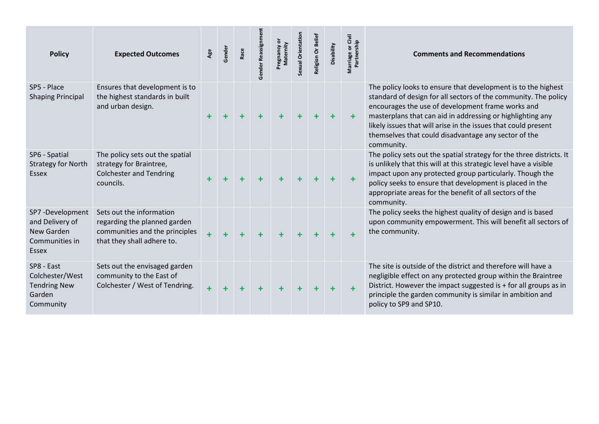| <b>Policy</b>                                                               | <b>Expected Outcomes</b>                                                                                                 | Age | Gender | Race | Gender Reassignmen | Pregnancy or<br>Maternity | Sexual Orientation | Religion Or Belief | Disability | Marriage or Civil<br>Partnership | <b>Comments and Recommendations</b>                                                                                                                                                                                                                                                                                                                                                         |
|-----------------------------------------------------------------------------|--------------------------------------------------------------------------------------------------------------------------|-----|--------|------|--------------------|---------------------------|--------------------|--------------------|------------|----------------------------------|---------------------------------------------------------------------------------------------------------------------------------------------------------------------------------------------------------------------------------------------------------------------------------------------------------------------------------------------------------------------------------------------|
| SP5 - Place<br><b>Shaping Principal</b>                                     | Ensures that development is to<br>the highest standards in built<br>and urban design.                                    |     |        |      | $\ddot{}$          | $\ddot{}$                 | ٠                  |                    | $\ddot{}$  | $\pm$                            | The policy looks to ensure that development is to the highest<br>standard of design for all sectors of the community. The policy<br>encourages the use of development frame works and<br>masterplans that can aid in addressing or highlighting any<br>likely issues that will arise in the issues that could present<br>themselves that could disadvantage any sector of the<br>community. |
| SP6 - Spatial<br><b>Strategy for North</b><br>Essex                         | The policy sets out the spatial<br>strategy for Braintree,<br><b>Colchester and Tendring</b><br>councils.                |     |        |      | $\ddot{}$          | ٠                         | ٠                  |                    | $\ddot{}$  | $\ddot{\phantom{1}}$             | The policy sets out the spatial strategy for the three districts. It<br>is unlikely that this will at this strategic level have a visible<br>impact upon any protected group particularly. Though the<br>policy seeks to ensure that development is placed in the<br>appropriate areas for the benefit of all sectors of the<br>community.                                                  |
| SP7-Development<br>and Delivery of<br>New Garden<br>Communities in<br>Essex | Sets out the information<br>regarding the planned garden<br>communities and the principles<br>that they shall adhere to. |     |        |      |                    |                           |                    |                    |            | ÷                                | The policy seeks the highest quality of design and is based<br>upon community empowerment. This will benefit all sectors of<br>the community.                                                                                                                                                                                                                                               |
| SP8 - East<br>Colchester/West<br><b>Tendring New</b><br>Garden<br>Community | Sets out the envisaged garden<br>community to the East of<br>Colchester / West of Tendring.                              | ÷   |        |      |                    |                           | $\ddot{}$          |                    | $\ddot{}$  | $\ddot{}$                        | The site is outside of the district and therefore will have a<br>negligible effect on any protected group within the Braintree<br>District. However the impact suggested is + for all groups as in<br>principle the garden community is similar in ambition and<br>policy to SP9 and SP10.                                                                                                  |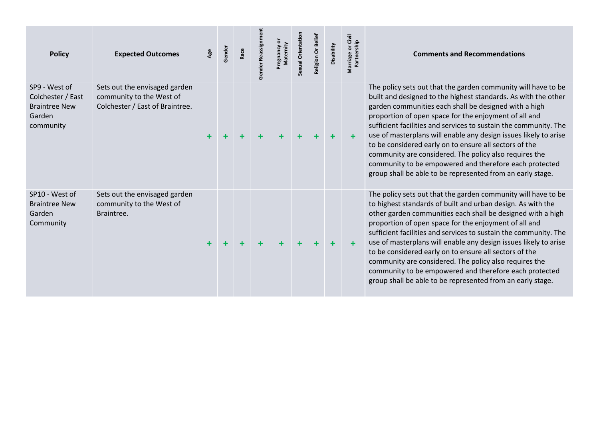| <b>Policy</b>                                                                     | <b>Expected Outcomes</b>                                                                     | Age | Gender | Race | Gender | Sexual Orientati | Religion Or Belief | Disability | Marriage or Civil<br>Partnership | <b>Comments and Recommendations</b>                                                                                                                                                                                                                                                                                                                                                                                                                                                                                                                                                                                                      |
|-----------------------------------------------------------------------------------|----------------------------------------------------------------------------------------------|-----|--------|------|--------|------------------|--------------------|------------|----------------------------------|------------------------------------------------------------------------------------------------------------------------------------------------------------------------------------------------------------------------------------------------------------------------------------------------------------------------------------------------------------------------------------------------------------------------------------------------------------------------------------------------------------------------------------------------------------------------------------------------------------------------------------------|
| SP9 - West of<br>Colchester / East<br><b>Braintree New</b><br>Garden<br>community | Sets out the envisaged garden<br>community to the West of<br>Colchester / East of Braintree. |     |        |      |        |                  |                    |            | $\ddot{}$                        | The policy sets out that the garden community will have to be<br>built and designed to the highest standards. As with the other<br>garden communities each shall be designed with a high<br>proportion of open space for the enjoyment of all and<br>sufficient facilities and services to sustain the community. The<br>use of masterplans will enable any design issues likely to arise<br>to be considered early on to ensure all sectors of the<br>community are considered. The policy also requires the<br>community to be empowered and therefore each protected<br>group shall be able to be represented from an early stage.    |
| SP10 - West of<br><b>Braintree New</b><br>Garden<br>Community                     | Sets out the envisaged garden<br>community to the West of<br>Braintree.                      |     |        |      |        |                  |                    |            | $\ddot{}$                        | The policy sets out that the garden community will have to be<br>to highest standards of built and urban design. As with the<br>other garden communities each shall be designed with a high<br>proportion of open space for the enjoyment of all and<br>sufficient facilities and services to sustain the community. The<br>use of masterplans will enable any design issues likely to arise<br>to be considered early on to ensure all sectors of the<br>community are considered. The policy also requires the<br>community to be empowered and therefore each protected<br>group shall be able to be represented from an early stage. |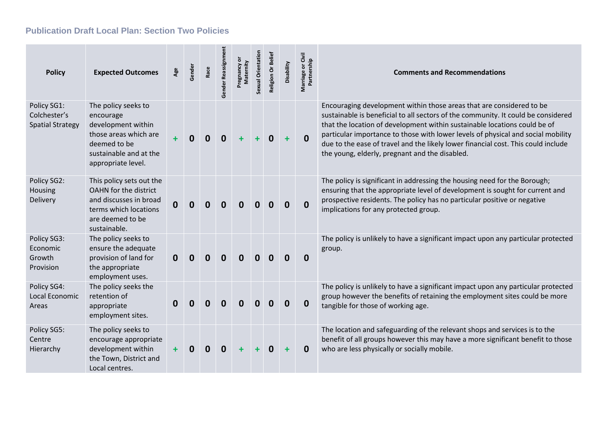#### **Publication Draft Local Plan: Section Two Policies**

| <b>Policy</b>                                          | <b>Expected Outcomes</b>                                                                                                                        | Age          | Gender      | Race     | Gender Reassignm | ŏ<br>Maternity<br>Pregnancy | Sexual Orientation | Religion Or Belief | Disability   | Marriage or Civil<br>Partnership | <b>Comments and Recommendations</b>                                                                                                                                                                                                                                                                                                                                                                                                                               |
|--------------------------------------------------------|-------------------------------------------------------------------------------------------------------------------------------------------------|--------------|-------------|----------|------------------|-----------------------------|--------------------|--------------------|--------------|----------------------------------|-------------------------------------------------------------------------------------------------------------------------------------------------------------------------------------------------------------------------------------------------------------------------------------------------------------------------------------------------------------------------------------------------------------------------------------------------------------------|
| Policy SG1:<br>Colchester's<br><b>Spatial Strategy</b> | The policy seeks to<br>encourage<br>development within<br>those areas which are<br>deemed to be<br>sustainable and at the<br>appropriate level. | $\ddot{}$    | $\mathbf 0$ | $\bf{0}$ | $\bf{0}$         | $\ddot{}$                   |                    | $\mathbf 0$        | $\ddot{}$    | $\mathbf 0$                      | Encouraging development within those areas that are considered to be<br>sustainable is beneficial to all sectors of the community. It could be considered<br>that the location of development within sustainable locations could be of<br>particular importance to those with lower levels of physical and social mobility<br>due to the ease of travel and the likely lower financial cost. This could include<br>the young, elderly, pregnant and the disabled. |
| Policy SG2:<br>Housing<br>Delivery                     | This policy sets out the<br><b>OAHN</b> for the district<br>and discusses in broad<br>terms which locations<br>are deemed to be<br>sustainable. | $\mathbf 0$  | O           | 0        | $\bf{0}$         | $\bf{0}$                    |                    | <sup>0</sup>       | <sup>0</sup> | $\mathbf 0$                      | The policy is significant in addressing the housing need for the Borough;<br>ensuring that the appropriate level of development is sought for current and<br>prospective residents. The policy has no particular positive or negative<br>implications for any protected group.                                                                                                                                                                                    |
| Policy SG3:<br>Economic<br>Growth<br>Provision         | The policy seeks to<br>ensure the adequate<br>provision of land for<br>the appropriate<br>employment uses.                                      | $\mathbf{0}$ | 0           | 0        | O                | 0                           |                    |                    |              | $\bf{0}$                         | The policy is unlikely to have a significant impact upon any particular protected<br>group.                                                                                                                                                                                                                                                                                                                                                                       |
| Policy SG4:<br>Local Economic<br>Areas                 | The policy seeks the<br>retention of<br>appropriate<br>employment sites.                                                                        | 0            | 0           | 0        | n                | n                           |                    |                    |              | $\bf{0}$                         | The policy is unlikely to have a significant impact upon any particular protected<br>group however the benefits of retaining the employment sites could be more<br>tangible for those of working age.                                                                                                                                                                                                                                                             |
| Policy SG5:<br>Centre<br>Hierarchy                     | The policy seeks to<br>encourage appropriate<br>development within<br>the Town, District and<br>Local centres.                                  | $\ddot{}$    | 0           | O        | $\bf{0}$         |                             |                    | O                  |              | $\bf{0}$                         | The location and safeguarding of the relevant shops and services is to the<br>benefit of all groups however this may have a more significant benefit to those<br>who are less physically or socially mobile.                                                                                                                                                                                                                                                      |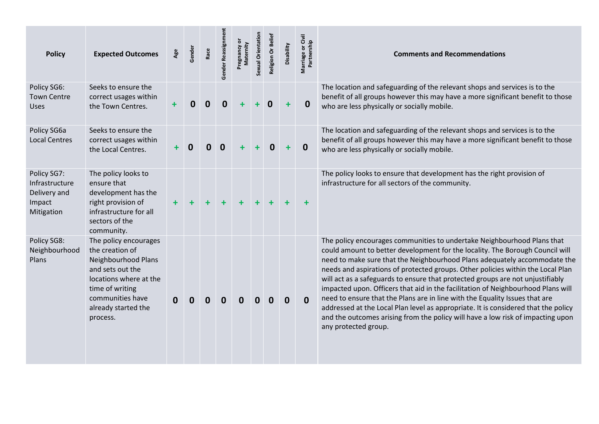| <b>Policy</b>                                                         | <b>Expected Outcomes</b>                                                                                                                                                                | Age       | Gender | Race             | Gender Reassignm | ŏ<br>Maternity<br>Pregnancy | Sexual Orientation | Religion Or Beliet | Disability       | Marriage or Civil<br>Partnership | <b>Comments and Recommendations</b>                                                                                                                                                                                                                                                                                                                                                                                                                                                                                                                                                                                                                                                                                                                                            |
|-----------------------------------------------------------------------|-----------------------------------------------------------------------------------------------------------------------------------------------------------------------------------------|-----------|--------|------------------|------------------|-----------------------------|--------------------|--------------------|------------------|----------------------------------|--------------------------------------------------------------------------------------------------------------------------------------------------------------------------------------------------------------------------------------------------------------------------------------------------------------------------------------------------------------------------------------------------------------------------------------------------------------------------------------------------------------------------------------------------------------------------------------------------------------------------------------------------------------------------------------------------------------------------------------------------------------------------------|
| Policy SG6:<br><b>Town Centre</b><br><b>Uses</b>                      | Seeks to ensure the<br>correct usages within<br>the Town Centres.                                                                                                                       | $\ddot{}$ | 0      | $\boldsymbol{0}$ | 0                |                             |                    | 0                  |                  | $\mathbf 0$                      | The location and safeguarding of the relevant shops and services is to the<br>benefit of all groups however this may have a more significant benefit to those<br>who are less physically or socially mobile.                                                                                                                                                                                                                                                                                                                                                                                                                                                                                                                                                                   |
| Policy SG6a<br><b>Local Centres</b>                                   | Seeks to ensure the<br>correct usages within<br>the Local Centres.                                                                                                                      | +         | 0      | $\mathbf 0$      | $\mathbf 0$      |                             |                    | 0                  |                  | $\bf{0}$                         | The location and safeguarding of the relevant shops and services is to the<br>benefit of all groups however this may have a more significant benefit to those<br>who are less physically or socially mobile.                                                                                                                                                                                                                                                                                                                                                                                                                                                                                                                                                                   |
| Policy SG7:<br>Infrastructure<br>Delivery and<br>Impact<br>Mitigation | The policy looks to<br>ensure that<br>development has the<br>right provision of<br>infrastructure for all<br>sectors of the<br>community.                                               | $\ddot{}$ |        | $\ddot{}$        | $\ddot{}$        |                             |                    |                    |                  |                                  | The policy looks to ensure that development has the right provision of<br>infrastructure for all sectors of the community.                                                                                                                                                                                                                                                                                                                                                                                                                                                                                                                                                                                                                                                     |
| Policy SG8:<br>Neighbourhood<br>Plans                                 | The policy encourages<br>the creation of<br>Neighbourhood Plans<br>and sets out the<br>locations where at the<br>time of writing<br>communities have<br>already started the<br>process. | 0         | 0      | $\bf{0}$         | $\mathbf 0$      | 0                           | 0                  | 0                  | $\boldsymbol{0}$ | $\mathbf{0}$                     | The policy encourages communities to undertake Neighbourhood Plans that<br>could amount to better development for the locality. The Borough Council will<br>need to make sure that the Neighbourhood Plans adequately accommodate the<br>needs and aspirations of protected groups. Other policies within the Local Plan<br>will act as a safeguards to ensure that protected groups are not unjustifiably<br>impacted upon. Officers that aid in the facilitation of Neighbourhood Plans will<br>need to ensure that the Plans are in line with the Equality Issues that are<br>addressed at the Local Plan level as appropriate. It is considered that the policy<br>and the outcomes arising from the policy will have a low risk of impacting upon<br>any protected group. |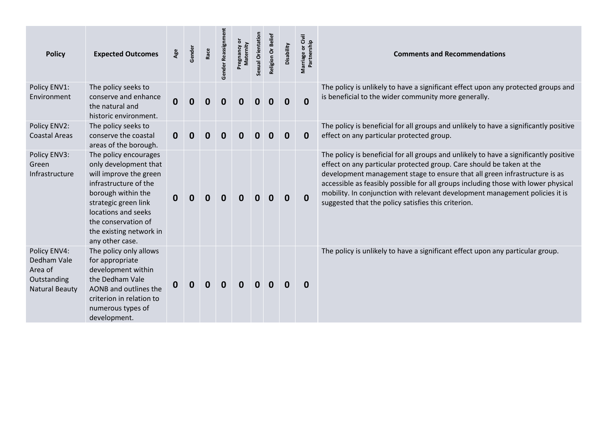| <b>Policy</b>                                                                  | <b>Expected Outcomes</b>                                                                                                                                                                                                                    | Age      | Gender | Race | Gender Reassignment | Pregnancy or<br>Maternity | Sexual Orientation | Religion Or Belief | Disability  | or Civil<br>Marriage or Civ<br>Partnership | <b>Comments and Recommendations</b>                                                                                                                                                                                                                                                                                                                                                                                                                                       |
|--------------------------------------------------------------------------------|---------------------------------------------------------------------------------------------------------------------------------------------------------------------------------------------------------------------------------------------|----------|--------|------|---------------------|---------------------------|--------------------|--------------------|-------------|--------------------------------------------|---------------------------------------------------------------------------------------------------------------------------------------------------------------------------------------------------------------------------------------------------------------------------------------------------------------------------------------------------------------------------------------------------------------------------------------------------------------------------|
| Policy ENV1:<br>Environment                                                    | The policy seeks to<br>conserve and enhance<br>the natural and<br>historic environment.                                                                                                                                                     | 0        |        |      | 0                   |                           |                    |                    |             | $\Omega$                                   | The policy is unlikely to have a significant effect upon any protected groups and<br>is beneficial to the wider community more generally.                                                                                                                                                                                                                                                                                                                                 |
| Policy ENV2:<br><b>Coastal Areas</b>                                           | The policy seeks to<br>conserve the coastal<br>areas of the borough.                                                                                                                                                                        | $\bf{0}$ |        |      | $\bf{0}$            |                           |                    |                    | 0           | $\bf{0}$                                   | The policy is beneficial for all groups and unlikely to have a significantly positive<br>effect on any particular protected group.                                                                                                                                                                                                                                                                                                                                        |
| Policy ENV3:<br>Green<br>Infrastructure                                        | The policy encourages<br>only development that<br>will improve the green<br>infrastructure of the<br>borough within the<br>strategic green link<br>locations and seeks<br>the conservation of<br>the existing network in<br>any other case. |          |        | 0    | $\bf{0}$            | 0                         | 0                  | 0                  | $\mathbf 0$ | $\mathbf{0}$                               | The policy is beneficial for all groups and unlikely to have a significantly positive<br>effect on any particular protected group. Care should be taken at the<br>development management stage to ensure that all green infrastructure is as<br>accessible as feasibly possible for all groups including those with lower physical<br>mobility. In conjunction with relevant development management policies it is<br>suggested that the policy satisfies this criterion. |
| Policy ENV4:<br>Dedham Vale<br>Area of<br>Outstanding<br><b>Natural Beauty</b> | The policy only allows<br>for appropriate<br>development within<br>the Dedham Vale<br>AONB and outlines the<br>criterion in relation to<br>numerous types of<br>development.                                                                | 0        |        | 0    | $\mathbf 0$         | $\Omega$                  | 0                  |                    | O           | $\bf{0}$                                   | The policy is unlikely to have a significant effect upon any particular group.                                                                                                                                                                                                                                                                                                                                                                                            |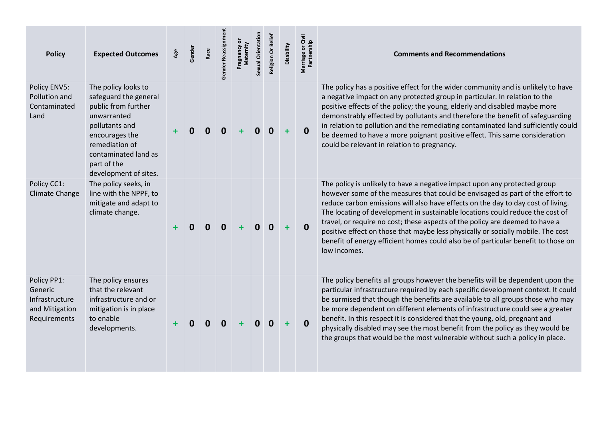| <b>Policy</b>                                                              | <b>Expected Outcomes</b>                                                                                                                                                                                 | Age | Gender | Race | Gender Reassignm | ŏ<br>Maternity<br>Pregnancy | Sexual Orientation | Religion Or Beliet | Disability | Marriage or Civil<br>Partnership | <b>Comments and Recommendations</b>                                                                                                                                                                                                                                                                                                                                                                                                                                                                                                                                                                      |
|----------------------------------------------------------------------------|----------------------------------------------------------------------------------------------------------------------------------------------------------------------------------------------------------|-----|--------|------|------------------|-----------------------------|--------------------|--------------------|------------|----------------------------------|----------------------------------------------------------------------------------------------------------------------------------------------------------------------------------------------------------------------------------------------------------------------------------------------------------------------------------------------------------------------------------------------------------------------------------------------------------------------------------------------------------------------------------------------------------------------------------------------------------|
| Policy ENV5:<br>Pollution and<br>Contaminated<br>Land                      | The policy looks to<br>safeguard the general<br>public from further<br>unwarranted<br>pollutants and<br>encourages the<br>remediation of<br>contaminated land as<br>part of the<br>development of sites. |     | O      | 0    | $\bf{0}$         |                             | 0                  | $\bf{0}$           | ٠          | $\mathbf{0}$                     | The policy has a positive effect for the wider community and is unlikely to have<br>a negative impact on any protected group in particular. In relation to the<br>positive effects of the policy; the young, elderly and disabled maybe more<br>demonstrably effected by pollutants and therefore the benefit of safeguarding<br>in relation to pollution and the remediating contaminated land sufficiently could<br>be deemed to have a more poignant positive effect. This same consideration<br>could be relevant in relation to pregnancy.                                                          |
| Policy CC1:<br><b>Climate Change</b>                                       | The policy seeks, in<br>line with the NPPF, to<br>mitigate and adapt to<br>climate change.                                                                                                               |     | 0      | 0    | 0                |                             | 0                  | $\mathbf{0}$       | ÷          | $\mathbf{0}$                     | The policy is unlikely to have a negative impact upon any protected group<br>however some of the measures that could be envisaged as part of the effort to<br>reduce carbon emissions will also have effects on the day to day cost of living.<br>The locating of development in sustainable locations could reduce the cost of<br>travel, or require no cost; these aspects of the policy are deemed to have a<br>positive effect on those that maybe less physically or socially mobile. The cost<br>benefit of energy efficient homes could also be of particular benefit to those on<br>low incomes. |
| Policy PP1:<br>Generic<br>Infrastructure<br>and Mitigation<br>Requirements | The policy ensures<br>that the relevant<br>infrastructure and or<br>mitigation is in place<br>to enable<br>developments.                                                                                 |     |        | 0    | 0                |                             | 0                  | $\bf{0}$           | $\ddot{}$  | $\mathbf 0$                      | The policy benefits all groups however the benefits will be dependent upon the<br>particular infrastructure required by each specific development context. It could<br>be surmised that though the benefits are available to all groups those who may<br>be more dependent on different elements of infrastructure could see a greater<br>benefit. In this respect it is considered that the young, old, pregnant and<br>physically disabled may see the most benefit from the policy as they would be<br>the groups that would be the most vulnerable without such a policy in place.                   |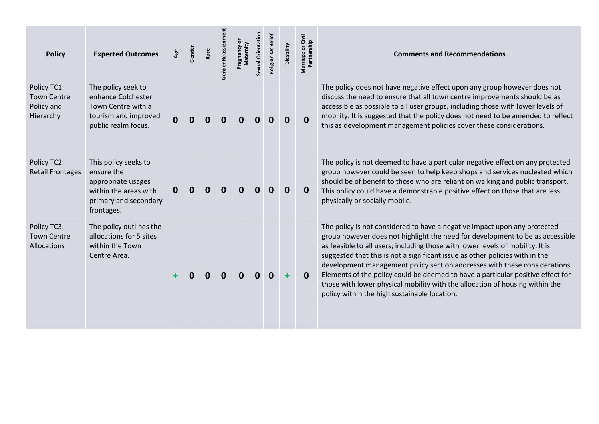| <b>Policy</b>                                                | <b>Expected Outcomes</b>                                                                                                 | Age         | Gender | Race | Gender Reassignme | ō<br>Maternity<br>Pregnancy | Sexual Orientation | Religion Or Belief | Disability | Marriage or Civil<br>Partnership | <b>Comments and Recommendations</b>                                                                                                                                                                                                                                                                                                                                                                                                                                                                                                                                                                                           |
|--------------------------------------------------------------|--------------------------------------------------------------------------------------------------------------------------|-------------|--------|------|-------------------|-----------------------------|--------------------|--------------------|------------|----------------------------------|-------------------------------------------------------------------------------------------------------------------------------------------------------------------------------------------------------------------------------------------------------------------------------------------------------------------------------------------------------------------------------------------------------------------------------------------------------------------------------------------------------------------------------------------------------------------------------------------------------------------------------|
| Policy TC1:<br><b>Town Centre</b><br>Policy and<br>Hierarchy | The policy seek to<br>enhance Colchester<br>Town Centre with a<br>tourism and improved<br>public realm focus.            | $\mathbf 0$ |        | 0    | O                 |                             |                    |                    | 0          | 0                                | The policy does not have negative effect upon any group however does not<br>discuss the need to ensure that all town centre improvements should be as<br>accessible as possible to all user groups, including those with lower levels of<br>mobility. It is suggested that the policy does not need to be amended to reflect<br>this as development management policies cover these considerations.                                                                                                                                                                                                                           |
| Policy TC2:<br><b>Retail Frontages</b>                       | This policy seeks to<br>ensure the<br>appropriate usages<br>within the areas with<br>primary and secondary<br>frontages. | 0           |        | 0    | 0                 | O                           |                    |                    |            | 0                                | The policy is not deemed to have a particular negative effect on any protected<br>group however could be seen to help keep shops and services nucleated which<br>should be of benefit to those who are reliant on walking and public transport.<br>This policy could have a demonstrable positive effect on those that are less<br>physically or socially mobile.                                                                                                                                                                                                                                                             |
| Policy TC3:<br><b>Town Centre</b><br><b>Allocations</b>      | The policy outlines the<br>allocations for 5 sites<br>within the Town<br>Centre Area.                                    |             | O      |      | n                 |                             |                    | O                  |            | 0                                | The policy is not considered to have a negative impact upon any protected<br>group however does not highlight the need for development to be as accessible<br>as feasible to all users; including those with lower levels of mobility. It is<br>suggested that this is not a significant issue as other policies with in the<br>development management policy section addresses with these considerations.<br>Elements of the policy could be deemed to have a particular positive effect for<br>those with lower physical mobility with the allocation of housing within the<br>policy within the high sustainable location. |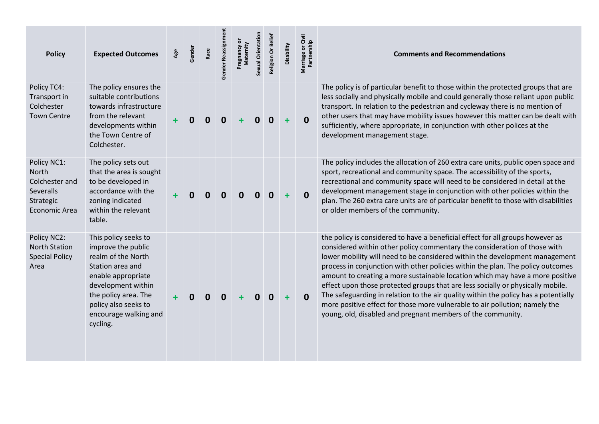| <b>Policy</b>                                                                     | <b>Expected Outcomes</b>                                                                                                                                                                                              | Age | Gender | Race             | Gender Reassignm | ō<br>Maternity<br>Pregnancy | Sexual Orientation | Religion Or Belief | Disability | Marriage or Civil<br>Partnership | <b>Comments and Recommendations</b>                                                                                                                                                                                                                                                                                                                                                                                                                                                                                                                                                                                                                                                                                                    |
|-----------------------------------------------------------------------------------|-----------------------------------------------------------------------------------------------------------------------------------------------------------------------------------------------------------------------|-----|--------|------------------|------------------|-----------------------------|--------------------|--------------------|------------|----------------------------------|----------------------------------------------------------------------------------------------------------------------------------------------------------------------------------------------------------------------------------------------------------------------------------------------------------------------------------------------------------------------------------------------------------------------------------------------------------------------------------------------------------------------------------------------------------------------------------------------------------------------------------------------------------------------------------------------------------------------------------------|
| Policy TC4:<br>Transport in<br>Colchester<br><b>Town Centre</b>                   | The policy ensures the<br>suitable contributions<br>towards infrastructure<br>from the relevant<br>developments within<br>the Town Centre of<br>Colchester.                                                           |     | 0      | $\boldsymbol{0}$ | $\bf{0}$         |                             | 0                  | $\mathbf 0$        | ٠          | $\mathbf 0$                      | The policy is of particular benefit to those within the protected groups that are<br>less socially and physically mobile and could generally those reliant upon public<br>transport. In relation to the pedestrian and cycleway there is no mention of<br>other users that may have mobility issues however this matter can be dealt with<br>sufficiently, where appropriate, in conjunction with other polices at the<br>development management stage.                                                                                                                                                                                                                                                                                |
| Policy NC1:<br>North<br>Colchester and<br>Severalls<br>Strategic<br>Economic Area | The policy sets out<br>that the area is sought<br>to be developed in<br>accordance with the<br>zoning indicated<br>within the relevant<br>table.                                                                      |     | 0      | $\bf{0}$         | 0                | 0                           | 0                  | 0                  | ٠          | $\mathbf{0}$                     | The policy includes the allocation of 260 extra care units, public open space and<br>sport, recreational and community space. The accessibility of the sports,<br>recreational and community space will need to be considered in detail at the<br>development management stage in conjunction with other policies within the<br>plan. The 260 extra care units are of particular benefit to those with disabilities<br>or older members of the community.                                                                                                                                                                                                                                                                              |
| Policy NC2:<br><b>North Station</b><br><b>Special Policy</b><br>Area              | This policy seeks to<br>improve the public<br>realm of the North<br>Station area and<br>enable appropriate<br>development within<br>the policy area. The<br>policy also seeks to<br>encourage walking and<br>cycling. |     | O      | 0                | $\bf{0}$         |                             | 0                  | 0                  | ٠          | $\mathbf{0}$                     | the policy is considered to have a beneficial effect for all groups however as<br>considered within other policy commentary the consideration of those with<br>lower mobility will need to be considered within the development management<br>process in conjunction with other policies within the plan. The policy outcomes<br>amount to creating a more sustainable location which may have a more positive<br>effect upon those protected groups that are less socially or physically mobile.<br>The safeguarding in relation to the air quality within the policy has a potentially<br>more positive effect for those more vulnerable to air pollution; namely the<br>young, old, disabled and pregnant members of the community. |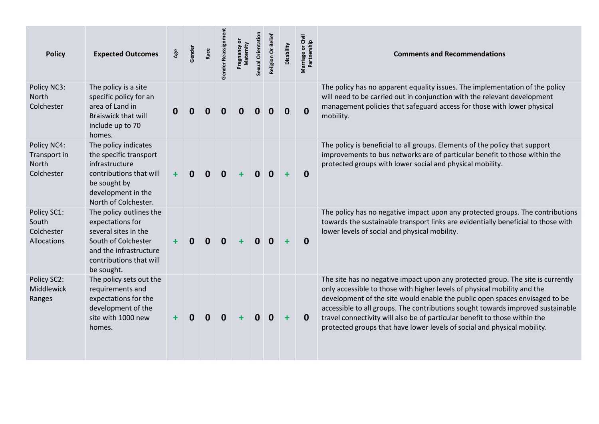| <b>Policy</b>                                      | <b>Expected Outcomes</b>                                                                                                                                      | Age       | Gender   | Race | Gender Reassignmen | ō<br>Maternity<br>Pregnancy | Sexual Orientation | <b>Religion Or Belief</b> | Disability | or Civil<br>Marriage or Civ<br>Partnership | <b>Comments and Recommendations</b>                                                                                                                                                                                                                                                                                                                                                                                                                                                     |
|----------------------------------------------------|---------------------------------------------------------------------------------------------------------------------------------------------------------------|-----------|----------|------|--------------------|-----------------------------|--------------------|---------------------------|------------|--------------------------------------------|-----------------------------------------------------------------------------------------------------------------------------------------------------------------------------------------------------------------------------------------------------------------------------------------------------------------------------------------------------------------------------------------------------------------------------------------------------------------------------------------|
| Policy NC3:<br>North<br>Colchester                 | The policy is a site<br>specific policy for an<br>area of Land in<br><b>Braiswick that will</b><br>include up to 70<br>homes.                                 | 0         | 0        | 0    | 0                  | Ω                           |                    | 0                         | 0          | $\mathbf 0$                                | The policy has no apparent equality issues. The implementation of the policy<br>will need to be carried out in conjunction with the relevant development<br>management policies that safeguard access for those with lower physical<br>mobility.                                                                                                                                                                                                                                        |
| Policy NC4:<br>Transport in<br>North<br>Colchester | The policy indicates<br>the specific transport<br>infrastructure<br>contributions that will<br>be sought by<br>development in the<br>North of Colchester.     | $\ddot{}$ | $\bf{0}$ | 0    | $\mathbf 0$        |                             | O                  | 0                         | ٠          | 0                                          | The policy is beneficial to all groups. Elements of the policy that support<br>improvements to bus networks are of particular benefit to those within the<br>protected groups with lower social and physical mobility.                                                                                                                                                                                                                                                                  |
| Policy SC1:<br>South<br>Colchester<br>Allocations  | The policy outlines the<br>expectations for<br>several sites in the<br>South of Colchester<br>and the infrastructure<br>contributions that will<br>be sought. |           |          | 0    | $\mathbf 0$        |                             | 0                  | $\mathbf{0}$              | $\ddot{}$  | $\bf{0}$                                   | The policy has no negative impact upon any protected groups. The contributions<br>towards the sustainable transport links are evidentially beneficial to those with<br>lower levels of social and physical mobility.                                                                                                                                                                                                                                                                    |
| Policy SC2:<br>Middlewick<br>Ranges                | The policy sets out the<br>requirements and<br>expectations for the<br>development of the<br>site with 1000 new<br>homes.                                     |           |          | 0    | $\bf{0}$           |                             | 0                  | 0                         | $\ddot{}$  | $\bf{0}$                                   | The site has no negative impact upon any protected group. The site is currently<br>only accessible to those with higher levels of physical mobility and the<br>development of the site would enable the public open spaces envisaged to be<br>accessible to all groups. The contributions sought towards improved sustainable<br>travel connectivity will also be of particular benefit to those within the<br>protected groups that have lower levels of social and physical mobility. |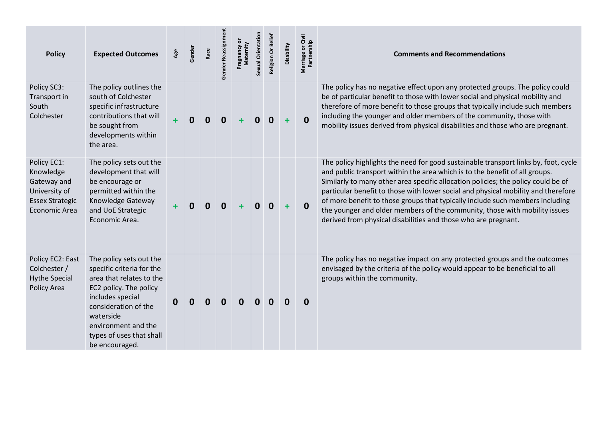| <b>Policy</b>                                                                                       | <b>Expected Outcomes</b>                                                                                                                                                                                                                 | Age | Gender | Race | Gender Reassignment | ō<br>Maternity | Sexual Orientation | Religion Or Belief | Disability | Marriage or Civil<br>Partnership | <b>Comments and Recommendations</b>                                                                                                                                                                                                                                                                                                                                                                                                                                                                                                                                           |
|-----------------------------------------------------------------------------------------------------|------------------------------------------------------------------------------------------------------------------------------------------------------------------------------------------------------------------------------------------|-----|--------|------|---------------------|----------------|--------------------|--------------------|------------|----------------------------------|-------------------------------------------------------------------------------------------------------------------------------------------------------------------------------------------------------------------------------------------------------------------------------------------------------------------------------------------------------------------------------------------------------------------------------------------------------------------------------------------------------------------------------------------------------------------------------|
| Policy SC3:<br>Transport in<br>South<br>Colchester                                                  | The policy outlines the<br>south of Colchester<br>specific infrastructure<br>contributions that will<br>be sought from<br>developments within<br>the area.                                                                               |     | 0      | 0    | 0                   |                | 0                  | $\bf{0}$           | $\ddot{}$  | $\mathbf{0}$                     | The policy has no negative effect upon any protected groups. The policy could<br>be of particular benefit to those with lower social and physical mobility and<br>therefore of more benefit to those groups that typically include such members<br>including the younger and older members of the community, those with<br>mobility issues derived from physical disabilities and those who are pregnant.                                                                                                                                                                     |
| Policy EC1:<br>Knowledge<br>Gateway and<br>University of<br><b>Essex Strategic</b><br>Economic Area | The policy sets out the<br>development that will<br>be encourage or<br>permitted within the<br>Knowledge Gateway<br>and UoE Strategic<br>Economic Area.                                                                                  |     | 0      | 0    | $\bf{0}$            |                | 0                  | $\mathbf{0}$       | $\ddot{}$  | $\mathbf{0}$                     | The policy highlights the need for good sustainable transport links by, foot, cycle<br>and public transport within the area which is to the benefit of all groups.<br>Similarly to many other area specific allocation policies; the policy could be of<br>particular benefit to those with lower social and physical mobility and therefore<br>of more benefit to those groups that typically include such members including<br>the younger and older members of the community, those with mobility issues<br>derived from physical disabilities and those who are pregnant. |
| Policy EC2: East<br>Colchester /<br><b>Hythe Special</b><br>Policy Area                             | The policy sets out the<br>specific criteria for the<br>area that relates to the<br>EC2 policy. The policy<br>includes special<br>consideration of the<br>waterside<br>environment and the<br>types of uses that shall<br>be encouraged. | 0   | 0      | 0    | 0                   | 0              | 0                  | 0                  | $\bf{0}$   | $\mathbf 0$                      | The policy has no negative impact on any protected groups and the outcomes<br>envisaged by the criteria of the policy would appear to be beneficial to all<br>groups within the community.                                                                                                                                                                                                                                                                                                                                                                                    |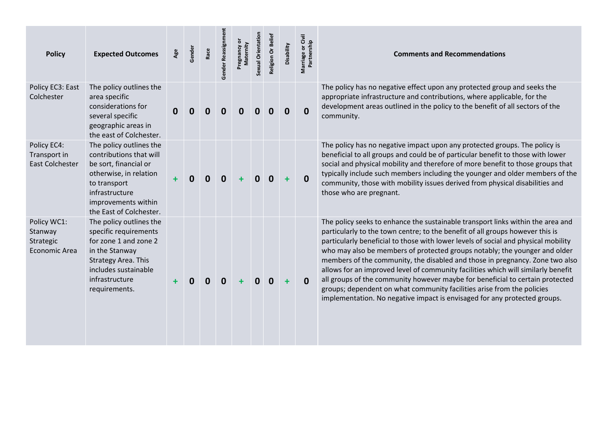| <b>Policy</b>                                               | <b>Expected Outcomes</b>                                                                                                                                                                  | Age | Gender | Race | Gender Reassignment | Pregnancy or<br>Maternity | Sexual Orientation | Religion Or Belief | Disability | or Civil<br>Marriage or Civ<br>Partnership | <b>Comments and Recommendations</b>                                                                                                                                                                                                                                                                                                                                                                                                                                                                                                                                                                                                                                                                                                               |
|-------------------------------------------------------------|-------------------------------------------------------------------------------------------------------------------------------------------------------------------------------------------|-----|--------|------|---------------------|---------------------------|--------------------|--------------------|------------|--------------------------------------------|---------------------------------------------------------------------------------------------------------------------------------------------------------------------------------------------------------------------------------------------------------------------------------------------------------------------------------------------------------------------------------------------------------------------------------------------------------------------------------------------------------------------------------------------------------------------------------------------------------------------------------------------------------------------------------------------------------------------------------------------------|
| Policy EC3: East<br>Colchester                              | The policy outlines the<br>area specific<br>considerations for<br>several specific<br>geographic areas in<br>the east of Colchester.                                                      |     |        |      | $\bf{0}$            | 0                         | Ω                  | ŋ                  | 0          | $\boldsymbol{0}$                           | The policy has no negative effect upon any protected group and seeks the<br>appropriate infrastructure and contributions, where applicable, for the<br>development areas outlined in the policy to the benefit of all sectors of the<br>community.                                                                                                                                                                                                                                                                                                                                                                                                                                                                                                |
| Policy EC4:<br>Transport in<br><b>East Colchester</b>       | The policy outlines the<br>contributions that will<br>be sort, financial or<br>otherwise, in relation<br>to transport<br>infrastructure<br>improvements within<br>the East of Colchester. |     | 0      | 0    | $\bf{0}$            |                           | $\mathbf{0}$       | $\mathbf 0$        | $\ddot{}$  | $\mathbf{0}$                               | The policy has no negative impact upon any protected groups. The policy is<br>beneficial to all groups and could be of particular benefit to those with lower<br>social and physical mobility and therefore of more benefit to those groups that<br>typically include such members including the younger and older members of the<br>community, those with mobility issues derived from physical disabilities and<br>those who are pregnant.                                                                                                                                                                                                                                                                                                      |
| Policy WC1:<br>Stanway<br>Strategic<br><b>Economic Area</b> | The policy outlines the<br>specific requirements<br>for zone 1 and zone 2<br>in the Stanway<br><b>Strategy Area. This</b><br>includes sustainable<br>infrastructure<br>requirements.      |     |        | 0    | $\mathbf 0$         |                           | $\mathbf 0$        | $\mathbf{0}$       | $\ddot{}$  | $\mathbf 0$                                | The policy seeks to enhance the sustainable transport links within the area and<br>particularly to the town centre; to the benefit of all groups however this is<br>particularly beneficial to those with lower levels of social and physical mobility<br>who may also be members of protected groups notably; the younger and older<br>members of the community, the disabled and those in pregnancy. Zone two also<br>allows for an improved level of community facilities which will similarly benefit<br>all groups of the community however maybe for beneficial to certain protected<br>groups; dependent on what community facilities arise from the policies<br>implementation. No negative impact is envisaged for any protected groups. |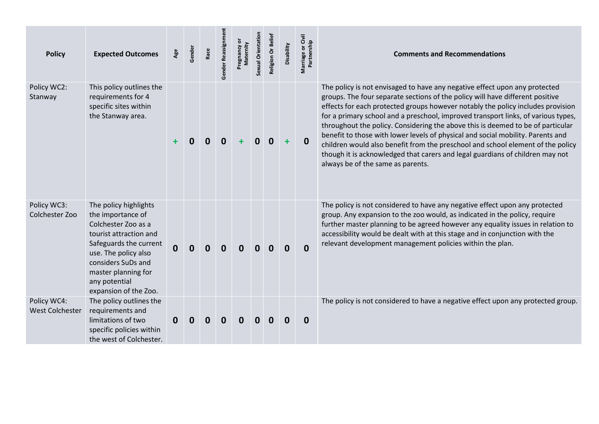| <b>Policy</b>                         | <b>Expected Outcomes</b>                                                                                                                                                                                                             | Age          | Gender      | Race | Gender Reassignmen | Pregnancy or<br>Maternity | Sexual Orientation | Religion Or Belief | Disability | Marriage or Civil<br>Partnership | <b>Comments and Recommendations</b>                                                                                                                                                                                                                                                                                                                                                                                                                                                                                                                                                                                                                                                                                |
|---------------------------------------|--------------------------------------------------------------------------------------------------------------------------------------------------------------------------------------------------------------------------------------|--------------|-------------|------|--------------------|---------------------------|--------------------|--------------------|------------|----------------------------------|--------------------------------------------------------------------------------------------------------------------------------------------------------------------------------------------------------------------------------------------------------------------------------------------------------------------------------------------------------------------------------------------------------------------------------------------------------------------------------------------------------------------------------------------------------------------------------------------------------------------------------------------------------------------------------------------------------------------|
| Policy WC2:<br>Stanway                | This policy outlines the<br>requirements for 4<br>specific sites within<br>the Stanway area.                                                                                                                                         |              | 0           | 0    | 0                  |                           |                    | 0                  | ÷          | $\mathbf 0$                      | The policy is not envisaged to have any negative effect upon any protected<br>groups. The four separate sections of the policy will have different positive<br>effects for each protected groups however notably the policy includes provision<br>for a primary school and a preschool, improved transport links, of various types,<br>throughout the policy. Considering the above this is deemed to be of particular<br>benefit to those with lower levels of physical and social mobility. Parents and<br>children would also benefit from the preschool and school element of the policy<br>though it is acknowledged that carers and legal guardians of children may not<br>always be of the same as parents. |
| Policy WC3:<br>Colchester Zoo         | The policy highlights<br>the importance of<br>Colchester Zoo as a<br>tourist attraction and<br>Safeguards the current<br>use. The policy also<br>considers SuDs and<br>master planning for<br>any potential<br>expansion of the Zoo. | $\mathbf{0}$ | $\mathbf 0$ | 0    | $\bf{0}$           | 0                         | $\mathbf{0}$       | 0                  | $\bf{0}$   | $\mathbf{0}$                     | The policy is not considered to have any negative effect upon any protected<br>group. Any expansion to the zoo would, as indicated in the policy, require<br>further master planning to be agreed however any equality issues in relation to<br>accessibility would be dealt with at this stage and in conjunction with the<br>relevant development management policies within the plan.                                                                                                                                                                                                                                                                                                                           |
| Policy WC4:<br><b>West Colchester</b> | The policy outlines the<br>requirements and<br>limitations of two<br>specific policies within<br>the west of Colchester.                                                                                                             | 0            |             |      | O                  |                           |                    |                    | O          | 0                                | The policy is not considered to have a negative effect upon any protected group.                                                                                                                                                                                                                                                                                                                                                                                                                                                                                                                                                                                                                                   |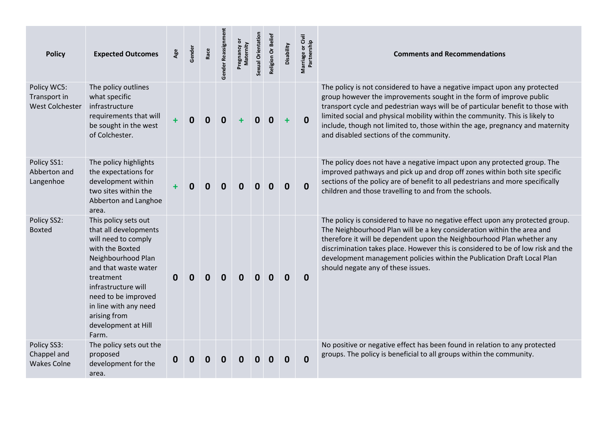| <b>Policy</b>                                         | <b>Expected Outcomes</b>                                                                                                                                                                                                                                                  | Age         | Gender      | Race | Gender Reassignme | Pregnancy or<br>Maternity | Sexual Orientation | Religion Or Belief | Disability  | Marriage or Civil<br>Partnership | <b>Comments and Recommendations</b>                                                                                                                                                                                                                                                                                                                                                                                                             |
|-------------------------------------------------------|---------------------------------------------------------------------------------------------------------------------------------------------------------------------------------------------------------------------------------------------------------------------------|-------------|-------------|------|-------------------|---------------------------|--------------------|--------------------|-------------|----------------------------------|-------------------------------------------------------------------------------------------------------------------------------------------------------------------------------------------------------------------------------------------------------------------------------------------------------------------------------------------------------------------------------------------------------------------------------------------------|
| Policy WC5:<br>Transport in<br><b>West Colchester</b> | The policy outlines<br>what specific<br>infrastructure<br>requirements that will<br>be sought in the west<br>of Colchester.                                                                                                                                               | $\ddot{}$   | $\mathbf 0$ | 0    | $\mathbf 0$       | ٠                         | 0                  | $\mathbf 0$        | $\ddot{}$   | $\mathbf{0}$                     | The policy is not considered to have a negative impact upon any protected<br>group however the improvements sought in the form of improve public<br>transport cycle and pedestrian ways will be of particular benefit to those with<br>limited social and physical mobility within the community. This is likely to<br>include, though not limited to, those within the age, pregnancy and maternity<br>and disabled sections of the community. |
| Policy SS1:<br>Abberton and<br>Langenhoe              | The policy highlights<br>the expectations for<br>development within<br>two sites within the<br>Abberton and Langhoe<br>area.                                                                                                                                              |             | 0           | 0    | $\mathbf 0$       | $\mathbf{0}$              | 0                  | $\mathbf 0$        | $\mathbf 0$ | $\mathbf 0$                      | The policy does not have a negative impact upon any protected group. The<br>improved pathways and pick up and drop off zones within both site specific<br>sections of the policy are of benefit to all pedestrians and more specifically<br>children and those travelling to and from the schools.                                                                                                                                              |
| Policy SS2:<br><b>Boxted</b>                          | This policy sets out<br>that all developments<br>will need to comply<br>with the Boxted<br>Neighbourhood Plan<br>and that waste water<br>treatment<br>infrastructure will<br>need to be improved<br>in line with any need<br>arising from<br>development at Hill<br>Farm. | $\mathbf 0$ | 0           | 0    | $\bf{0}$          | $\mathbf{0}$              | 0                  | $\mathbf 0$        | $\mathbf 0$ | $\bf{0}$                         | The policy is considered to have no negative effect upon any protected group.<br>The Neighbourhood Plan will be a key consideration within the area and<br>therefore it will be dependent upon the Neighbourhood Plan whether any<br>discrimination takes place. However this is considered to be of low risk and the<br>development management policies within the Publication Draft Local Plan<br>should negate any of these issues.          |
| Policy SS3:<br>Chappel and<br><b>Wakes Colne</b>      | The policy sets out the<br>proposed<br>development for the<br>area.                                                                                                                                                                                                       | $\bf{0}$    |             |      |                   |                           |                    |                    | O           | $\mathbf 0$                      | No positive or negative effect has been found in relation to any protected<br>groups. The policy is beneficial to all groups within the community.                                                                                                                                                                                                                                                                                              |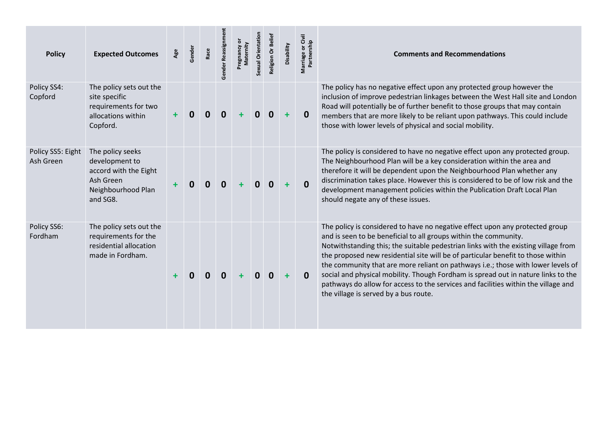| <b>Policy</b>                  | <b>Expected Outcomes</b>                                                                                   | Age | Gender | Race | Gender Reassignr | Maternity | Sexual Orientation | Religion Or Beliet | Disability | Marriage or Civil<br>Partnership | <b>Comments and Recommendations</b>                                                                                                                                                                                                                                                                                                                                                                                                                                                                                                                                                                                               |
|--------------------------------|------------------------------------------------------------------------------------------------------------|-----|--------|------|------------------|-----------|--------------------|--------------------|------------|----------------------------------|-----------------------------------------------------------------------------------------------------------------------------------------------------------------------------------------------------------------------------------------------------------------------------------------------------------------------------------------------------------------------------------------------------------------------------------------------------------------------------------------------------------------------------------------------------------------------------------------------------------------------------------|
| Policy SS4:<br>Copford         | The policy sets out the<br>site specific<br>requirements for two<br>allocations within<br>Copford.         | ÷   | 0      | 0    | $\mathbf 0$      | ٠         | $\mathbf{0}$       | $\mathbf{0}$       | $\ddot{}$  | 0                                | The policy has no negative effect upon any protected group however the<br>inclusion of improve pedestrian linkages between the West Hall site and London<br>Road will potentially be of further benefit to those groups that may contain<br>members that are more likely to be reliant upon pathways. This could include<br>those with lower levels of physical and social mobility.                                                                                                                                                                                                                                              |
| Policy SS5: Eight<br>Ash Green | The policy seeks<br>development to<br>accord with the Eight<br>Ash Green<br>Neighbourhood Plan<br>and SG8. |     | 0      | 0    | 0                |           | 0                  | 0                  |            | $\mathbf{0}$                     | The policy is considered to have no negative effect upon any protected group.<br>The Neighbourhood Plan will be a key consideration within the area and<br>therefore it will be dependent upon the Neighbourhood Plan whether any<br>discrimination takes place. However this is considered to be of low risk and the<br>development management policies within the Publication Draft Local Plan<br>should negate any of these issues.                                                                                                                                                                                            |
| Policy SS6:<br>Fordham         | The policy sets out the<br>requirements for the<br>residential allocation<br>made in Fordham.              |     |        | O    | 0                |           | <sup>n</sup>       | 0                  | ÷          | $\Omega$                         | The policy is considered to have no negative effect upon any protected group<br>and is seen to be beneficial to all groups within the community.<br>Notwithstanding this; the suitable pedestrian links with the existing village from<br>the proposed new residential site will be of particular benefit to those within<br>the community that are more reliant on pathways i.e.; those with lower levels of<br>social and physical mobility. Though Fordham is spread out in nature links to the<br>pathways do allow for access to the services and facilities within the village and<br>the village is served by a bus route. |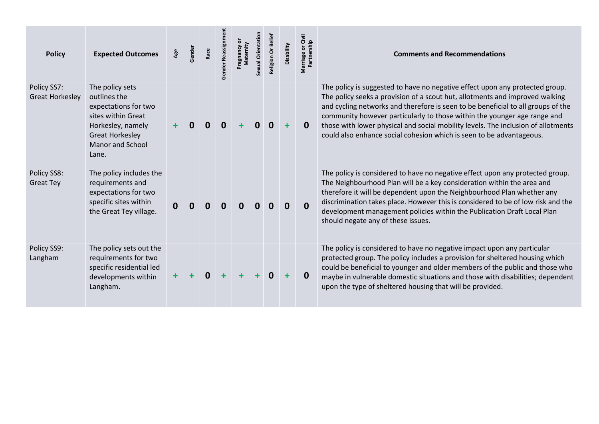| <b>Policy</b>                         | <b>Expected Outcomes</b>                                                                                                                                         | Age          | Gender | Race | Gender Reassignmen | ŏ<br>Maternity<br>Pregnancy | Sexual Orientation | Religion Or Belief | Disability | Marriage or Civil<br>Partnership | <b>Comments and Recommendations</b>                                                                                                                                                                                                                                                                                                                                                                                                                                                       |
|---------------------------------------|------------------------------------------------------------------------------------------------------------------------------------------------------------------|--------------|--------|------|--------------------|-----------------------------|--------------------|--------------------|------------|----------------------------------|-------------------------------------------------------------------------------------------------------------------------------------------------------------------------------------------------------------------------------------------------------------------------------------------------------------------------------------------------------------------------------------------------------------------------------------------------------------------------------------------|
| Policy SS7:<br><b>Great Horkesley</b> | The policy sets<br>outlines the<br>expectations for two<br>sites within Great<br>Horkesley, namely<br><b>Great Horkesley</b><br><b>Manor and School</b><br>Lane. | $\ddot{}$    | 0      |      | 0                  | 4                           |                    |                    |            | 0                                | The policy is suggested to have no negative effect upon any protected group.<br>The policy seeks a provision of a scout hut, allotments and improved walking<br>and cycling networks and therefore is seen to be beneficial to all groups of the<br>community however particularly to those within the younger age range and<br>those with lower physical and social mobility levels. The inclusion of allotments<br>could also enhance social cohesion which is seen to be advantageous. |
| Policy SS8:<br><b>Great Tey</b>       | The policy includes the<br>requirements and<br>expectations for two<br>specific sites within<br>the Great Tey village.                                           | $\mathbf{0}$ | 0      | 0    | 0                  | $\mathbf{0}$                |                    |                    | 0          | 0                                | The policy is considered to have no negative effect upon any protected group.<br>The Neighbourhood Plan will be a key consideration within the area and<br>therefore it will be dependent upon the Neighbourhood Plan whether any<br>discrimination takes place. However this is considered to be of low risk and the<br>development management policies within the Publication Draft Local Plan<br>should negate any of these issues.                                                    |
| Policy SS9:<br>Langham                | The policy sets out the<br>requirements for two<br>specific residential led<br>developments within<br>Langham.                                                   | $\ddot{}$    |        | 0    |                    |                             |                    |                    |            | 0                                | The policy is considered to have no negative impact upon any particular<br>protected group. The policy includes a provision for sheltered housing which<br>could be beneficial to younger and older members of the public and those who<br>maybe in vulnerable domestic situations and those with disabilities; dependent<br>upon the type of sheltered housing that will be provided.                                                                                                    |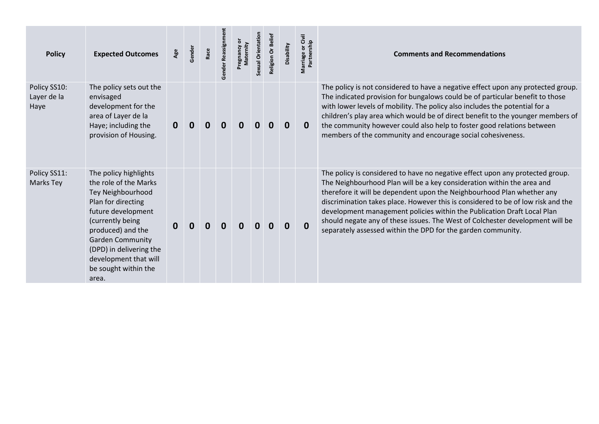| <b>Policy</b>                       | <b>Expected Outcomes</b>                                                                                                                                                                                                                                                 | Age      | Gender   | Race | Gender Reassignment | Maternity | Sexual Orientation | Religion Or Belief | Disability  | Marriage or Civil<br>Partnership | <b>Comments and Recommendations</b>                                                                                                                                                                                                                                                                                                                                                                                                                                                                                                               |
|-------------------------------------|--------------------------------------------------------------------------------------------------------------------------------------------------------------------------------------------------------------------------------------------------------------------------|----------|----------|------|---------------------|-----------|--------------------|--------------------|-------------|----------------------------------|---------------------------------------------------------------------------------------------------------------------------------------------------------------------------------------------------------------------------------------------------------------------------------------------------------------------------------------------------------------------------------------------------------------------------------------------------------------------------------------------------------------------------------------------------|
| Policy SS10:<br>Layer de la<br>Haye | The policy sets out the<br>envisaged<br>development for the<br>area of Layer de la<br>Haye; including the<br>provision of Housing.                                                                                                                                       | 0        | 0        |      |                     |           |                    |                    | $\mathbf 0$ | $\mathbf{0}$                     | The policy is not considered to have a negative effect upon any protected group.<br>The indicated provision for bungalows could be of particular benefit to those<br>with lower levels of mobility. The policy also includes the potential for a<br>children's play area which would be of direct benefit to the younger members of<br>the community however could also help to foster good relations between<br>members of the community and encourage social cohesiveness.                                                                      |
| Policy SS11:<br>Marks Tey           | The policy highlights<br>the role of the Marks<br>Tey Neighbourhood<br>Plan for directing<br>future development<br>(currently being<br>produced) and the<br><b>Garden Community</b><br>(DPD) in delivering the<br>development that will<br>be sought within the<br>area. | $\bf{0}$ | $\bf{0}$ |      |                     |           |                    | O                  | $\mathbf 0$ | $\mathbf{0}$                     | The policy is considered to have no negative effect upon any protected group.<br>The Neighbourhood Plan will be a key consideration within the area and<br>therefore it will be dependent upon the Neighbourhood Plan whether any<br>discrimination takes place. However this is considered to be of low risk and the<br>development management policies within the Publication Draft Local Plan<br>should negate any of these issues. The West of Colchester development will be<br>separately assessed within the DPD for the garden community. |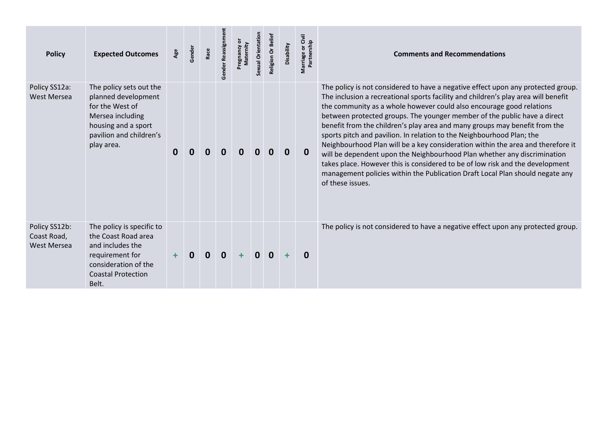| <b>Policy</b>                               | <b>Expected Outcomes</b>                                                                                                                              | Age | Gender       | Race | Gender Reassignm | Maternity<br>Pregnancy | Sexual Orientation | Religion Or Belief | Disability | Givil<br>Partnership<br>ŏ<br>Marriage | <b>Comments and Recommendations</b>                                                                                                                                                                                                                                                                                                                                                                                                                                                                                                                                                                                                                                                                                                                                                                                                    |
|---------------------------------------------|-------------------------------------------------------------------------------------------------------------------------------------------------------|-----|--------------|------|------------------|------------------------|--------------------|--------------------|------------|---------------------------------------|----------------------------------------------------------------------------------------------------------------------------------------------------------------------------------------------------------------------------------------------------------------------------------------------------------------------------------------------------------------------------------------------------------------------------------------------------------------------------------------------------------------------------------------------------------------------------------------------------------------------------------------------------------------------------------------------------------------------------------------------------------------------------------------------------------------------------------------|
| Policy SS12a:<br>West Mersea                | The policy sets out the<br>planned development<br>for the West of<br>Mersea including<br>housing and a sport<br>pavilion and children's<br>play area. | 0   | 0            |      | 0                |                        | n                  |                    | 0          | 0                                     | The policy is not considered to have a negative effect upon any protected group.<br>The inclusion a recreational sports facility and children's play area will benefit<br>the community as a whole however could also encourage good relations<br>between protected groups. The younger member of the public have a direct<br>benefit from the children's play area and many groups may benefit from the<br>sports pitch and pavilion. In relation to the Neighbourhood Plan; the<br>Neighbourhood Plan will be a key consideration within the area and therefore it<br>will be dependent upon the Neighbourhood Plan whether any discrimination<br>takes place. However this is considered to be of low risk and the development<br>management policies within the Publication Draft Local Plan should negate any<br>of these issues. |
| Policy SS12b:<br>Coast Road,<br>West Mersea | The policy is specific to<br>the Coast Road area<br>and includes the<br>requirement for<br>consideration of the<br><b>Coastal Protection</b><br>Belt. |     | <sup>0</sup> | 0    | $\mathbf 0$      |                        | $\mathbf{0}$       | $\mathbf{0}$       | ÷          | $\bf{0}$                              | The policy is not considered to have a negative effect upon any protected group.                                                                                                                                                                                                                                                                                                                                                                                                                                                                                                                                                                                                                                                                                                                                                       |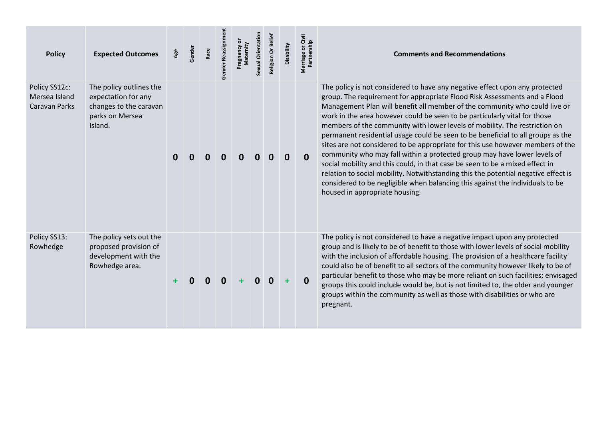| <b>Policy</b>                                          | <b>Expected Outcomes</b>                                                                               | Age | Gender | Race | Gender Reassignn | ternity | Sexual Orientation | Religion Or Belief | Disability | Marriage or Civil<br>Partnership | <b>Comments and Recommendations</b>                                                                                                                                                                                                                                                                                                                                                                                                                                                                                                                                                                                                                                                                                                                                                                                                                                                                                                         |
|--------------------------------------------------------|--------------------------------------------------------------------------------------------------------|-----|--------|------|------------------|---------|--------------------|--------------------|------------|----------------------------------|---------------------------------------------------------------------------------------------------------------------------------------------------------------------------------------------------------------------------------------------------------------------------------------------------------------------------------------------------------------------------------------------------------------------------------------------------------------------------------------------------------------------------------------------------------------------------------------------------------------------------------------------------------------------------------------------------------------------------------------------------------------------------------------------------------------------------------------------------------------------------------------------------------------------------------------------|
| Policy SS12c:<br>Mersea Island<br><b>Caravan Parks</b> | The policy outlines the<br>expectation for any<br>changes to the caravan<br>parks on Mersea<br>Island. | 0   |        |      | 0                |         |                    |                    | 0          | $\mathbf{0}$                     | The policy is not considered to have any negative effect upon any protected<br>group. The requirement for appropriate Flood Risk Assessments and a Flood<br>Management Plan will benefit all member of the community who could live or<br>work in the area however could be seen to be particularly vital for those<br>members of the community with lower levels of mobility. The restriction on<br>permanent residential usage could be seen to be beneficial to all groups as the<br>sites are not considered to be appropriate for this use however members of the<br>community who may fall within a protected group may have lower levels of<br>social mobility and this could, in that case be seen to be a mixed effect in<br>relation to social mobility. Notwithstanding this the potential negative effect is<br>considered to be negligible when balancing this against the individuals to be<br>housed in appropriate housing. |
| Policy SS13:<br>Rowhedge                               | The policy sets out the<br>proposed provision of<br>development with the<br>Rowhedge area.             |     | n      | 0    | 0                |         | $\Omega$           | $\bf{0}$           | ÷          | $\bf{0}$                         | The policy is not considered to have a negative impact upon any protected<br>group and is likely to be of benefit to those with lower levels of social mobility<br>with the inclusion of affordable housing. The provision of a healthcare facility<br>could also be of benefit to all sectors of the community however likely to be of<br>particular benefit to those who may be more reliant on such facilities; envisaged<br>groups this could include would be, but is not limited to, the older and younger<br>groups within the community as well as those with disabilities or who are<br>pregnant.                                                                                                                                                                                                                                                                                                                                  |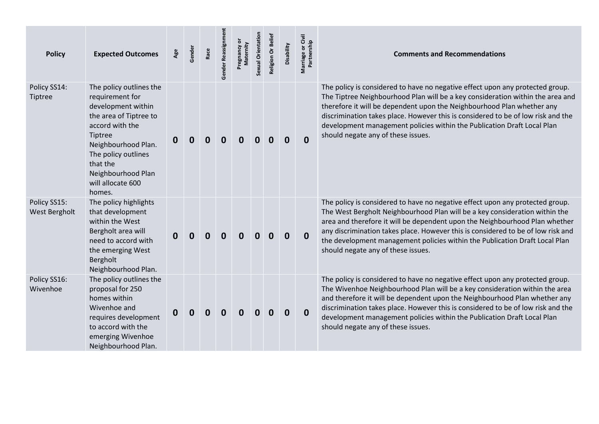| <b>Policy</b>                  | <b>Expected Outcomes</b>                                                                                                                                                                                                                | Age | Gender | Race             | Gender Reassignme | ŏ<br>Pregnancy or<br>Maternity | Sexual Orientation | Religion Or Belief | Disability  | Marriage or Civil<br>Partnership | <b>Comments and Recommendations</b>                                                                                                                                                                                                                                                                                                                                                                                                                  |
|--------------------------------|-----------------------------------------------------------------------------------------------------------------------------------------------------------------------------------------------------------------------------------------|-----|--------|------------------|-------------------|--------------------------------|--------------------|--------------------|-------------|----------------------------------|------------------------------------------------------------------------------------------------------------------------------------------------------------------------------------------------------------------------------------------------------------------------------------------------------------------------------------------------------------------------------------------------------------------------------------------------------|
| Policy SS14:<br><b>Tiptree</b> | The policy outlines the<br>requirement for<br>development within<br>the area of Tiptree to<br>accord with the<br>Tiptree<br>Neighbourhood Plan.<br>The policy outlines<br>that the<br>Neighbourhood Plan<br>will allocate 600<br>homes. | 0   |        | $\boldsymbol{0}$ | $\bf{0}$          | 0                              | 0                  | Ω                  | $\mathbf 0$ | $\mathbf{0}$                     | The policy is considered to have no negative effect upon any protected group.<br>The Tiptree Neighbourhood Plan will be a key consideration within the area and<br>therefore it will be dependent upon the Neighbourhood Plan whether any<br>discrimination takes place. However this is considered to be of low risk and the<br>development management policies within the Publication Draft Local Plan<br>should negate any of these issues.       |
| Policy SS15:<br>West Bergholt  | The policy highlights<br>that development<br>within the West<br>Bergholt area will<br>need to accord with<br>the emerging West<br>Bergholt<br>Neighbourhood Plan.                                                                       | 0   |        | $\boldsymbol{0}$ | 0                 | 0                              |                    |                    | $\bf{0}$    | $\mathbf 0$                      | The policy is considered to have no negative effect upon any protected group.<br>The West Bergholt Neighbourhood Plan will be a key consideration within the<br>area and therefore it will be dependent upon the Neighbourhood Plan whether<br>any discrimination takes place. However this is considered to be of low risk and<br>the development management policies within the Publication Draft Local Plan<br>should negate any of these issues. |
| Policy SS16:<br>Wivenhoe       | The policy outlines the<br>proposal for 250<br>homes within<br>Wivenhoe and<br>requires development<br>to accord with the<br>emerging Wivenhoe<br>Neighbourhood Plan.                                                                   | 0   |        | 0                | 0                 | 0                              |                    | O                  | $\bf{0}$    | $\mathbf 0$                      | The policy is considered to have no negative effect upon any protected group.<br>The Wivenhoe Neighbourhood Plan will be a key consideration within the area<br>and therefore it will be dependent upon the Neighbourhood Plan whether any<br>discrimination takes place. However this is considered to be of low risk and the<br>development management policies within the Publication Draft Local Plan<br>should negate any of these issues.      |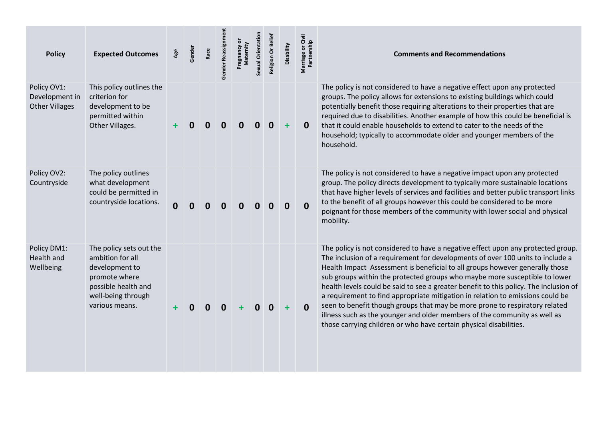| <b>Policy</b>                                          | <b>Expected Outcomes</b>                                                                                                                      | Age         | Gender | Race | Gender Reassignmen | Pregnancy or<br>Maternity | Sexual Orientation | Religion Or Belief | Disability       | Marriage or Civil<br>Partnership | <b>Comments and Recommendations</b>                                                                                                                                                                                                                                                                                                                                                                                                                                                                                                                                                                                                                                                                                                           |
|--------------------------------------------------------|-----------------------------------------------------------------------------------------------------------------------------------------------|-------------|--------|------|--------------------|---------------------------|--------------------|--------------------|------------------|----------------------------------|-----------------------------------------------------------------------------------------------------------------------------------------------------------------------------------------------------------------------------------------------------------------------------------------------------------------------------------------------------------------------------------------------------------------------------------------------------------------------------------------------------------------------------------------------------------------------------------------------------------------------------------------------------------------------------------------------------------------------------------------------|
| Policy OV1:<br>Development in<br><b>Other Villages</b> | This policy outlines the<br>criterion for<br>development to be<br>permitted within<br>Other Villages.                                         |             |        | 0    | $\bf{0}$           | 0                         | 0                  | $\bf{0}$           | ÷                | $\bf{0}$                         | The policy is not considered to have a negative effect upon any protected<br>groups. The policy allows for extensions to existing buildings which could<br>potentially benefit those requiring alterations to their properties that are<br>required due to disabilities. Another example of how this could be beneficial is<br>that it could enable households to extend to cater to the needs of the<br>household; typically to accommodate older and younger members of the<br>household.                                                                                                                                                                                                                                                   |
| Policy OV2:<br>Countryside                             | The policy outlines<br>what development<br>could be permitted in<br>countryside locations.                                                    | $\mathbf 0$ | 0      | 0    | 0                  | 0                         | 0                  | 0                  | $\boldsymbol{0}$ | $\mathbf{0}$                     | The policy is not considered to have a negative impact upon any protected<br>group. The policy directs development to typically more sustainable locations<br>that have higher levels of services and facilities and better public transport links<br>to the benefit of all groups however this could be considered to be more<br>poignant for those members of the community with lower social and physical<br>mobility.                                                                                                                                                                                                                                                                                                                     |
| Policy DM1:<br>Health and<br>Wellbeing                 | The policy sets out the<br>ambition for all<br>development to<br>promote where<br>possible health and<br>well-being through<br>various means. | ٠           | 0      | 0    | 0                  |                           |                    | 0                  | ٠                | $\mathbf{0}$                     | The policy is not considered to have a negative effect upon any protected group.<br>The inclusion of a requirement for developments of over 100 units to include a<br>Health Impact Assessment is beneficial to all groups however generally those<br>sub groups within the protected groups who maybe more susceptible to lower<br>health levels could be said to see a greater benefit to this policy. The inclusion of<br>a requirement to find appropriate mitigation in relation to emissions could be<br>seen to benefit though groups that may be more prone to respiratory related<br>illness such as the younger and older members of the community as well as<br>those carrying children or who have certain physical disabilities. |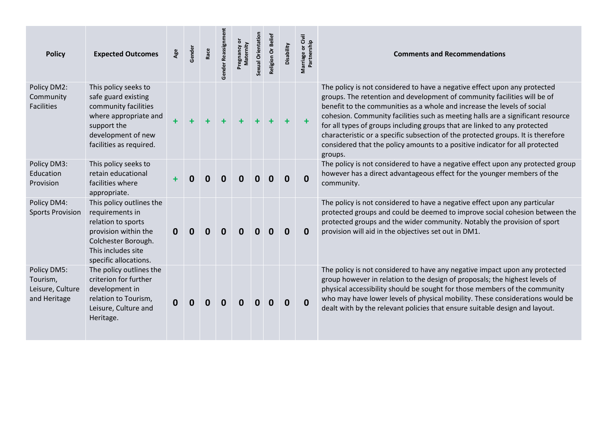| <b>Policy</b>                                               | <b>Expected Outcomes</b>                                                                                                                                        | Age | Gender | Race | Gender Reassignm | ŏ<br>Maternity<br>Pregnancy | Sexual Orientation | Religion Or Belief | Disability | Marriage or Civil<br>Partnership | <b>Comments and Recommendations</b>                                                                                                                                                                                                                                                                                                                                                                                                                                                                                                                                             |
|-------------------------------------------------------------|-----------------------------------------------------------------------------------------------------------------------------------------------------------------|-----|--------|------|------------------|-----------------------------|--------------------|--------------------|------------|----------------------------------|---------------------------------------------------------------------------------------------------------------------------------------------------------------------------------------------------------------------------------------------------------------------------------------------------------------------------------------------------------------------------------------------------------------------------------------------------------------------------------------------------------------------------------------------------------------------------------|
| Policy DM2:<br>Community<br>Facilities                      | This policy seeks to<br>safe guard existing<br>community facilities<br>where appropriate and<br>support the<br>development of new<br>facilities as required.    | ÷   |        |      |                  |                             |                    |                    |            |                                  | The policy is not considered to have a negative effect upon any protected<br>groups. The retention and development of community facilities will be of<br>benefit to the communities as a whole and increase the levels of social<br>cohesion. Community facilities such as meeting halls are a significant resource<br>for all types of groups including groups that are linked to any protected<br>characteristic or a specific subsection of the protected groups. It is therefore<br>considered that the policy amounts to a positive indicator for all protected<br>groups. |
| Policy DM3:<br>Education<br>Provision                       | This policy seeks to<br>retain educational<br>facilities where<br>appropriate.                                                                                  |     |        | O    | 0                |                             |                    |                    |            | $\mathbf{0}$                     | The policy is not considered to have a negative effect upon any protected group<br>however has a direct advantageous effect for the younger members of the<br>community.                                                                                                                                                                                                                                                                                                                                                                                                        |
| Policy DM4:<br><b>Sports Provision</b>                      | This policy outlines the<br>requirements in<br>relation to sports<br>provision within the<br>Colchester Borough.<br>This includes site<br>specific allocations. | 0   | 0      | 0    | 0                | O                           |                    | 0                  |            | 0                                | The policy is not considered to have a negative effect upon any particular<br>protected groups and could be deemed to improve social cohesion between the<br>protected groups and the wider community. Notably the provision of sport<br>provision will aid in the objectives set out in DM1.                                                                                                                                                                                                                                                                                   |
| Policy DM5:<br>Tourism,<br>Leisure, Culture<br>and Heritage | The policy outlines the<br>criterion for further<br>development in<br>relation to Tourism,<br>Leisure, Culture and<br>Heritage.                                 | 0   |        | 0    | 0                |                             |                    |                    |            | 0                                | The policy is not considered to have any negative impact upon any protected<br>group however in relation to the design of proposals; the highest levels of<br>physical accessibility should be sought for those members of the community<br>who may have lower levels of physical mobility. These considerations would be<br>dealt with by the relevant policies that ensure suitable design and layout.                                                                                                                                                                        |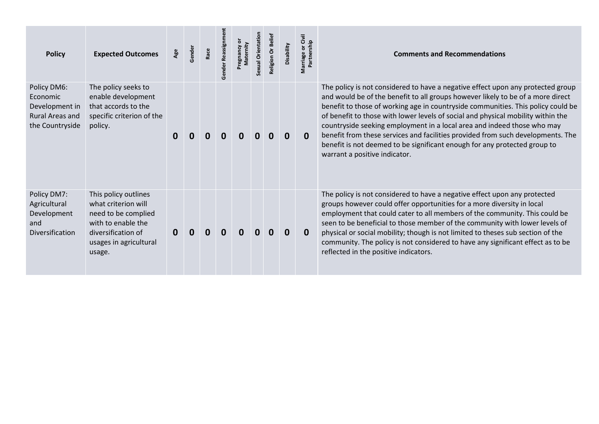| <b>Policy</b>                                                                   | <b>Expected Outcomes</b>                                                                                                                           | Age | Gender | Race | Gender Reassignm | Sexual Orientation | Religion Or Beliet | Disability | Givil<br>Marriage or Civ<br>Partnership | <b>Comments and Recommendations</b>                                                                                                                                                                                                                                                                                                                                                                                                                                                                                                                                                                                    |
|---------------------------------------------------------------------------------|----------------------------------------------------------------------------------------------------------------------------------------------------|-----|--------|------|------------------|--------------------|--------------------|------------|-----------------------------------------|------------------------------------------------------------------------------------------------------------------------------------------------------------------------------------------------------------------------------------------------------------------------------------------------------------------------------------------------------------------------------------------------------------------------------------------------------------------------------------------------------------------------------------------------------------------------------------------------------------------------|
| Policy DM6:<br>Economic<br>Development in<br>Rural Areas and<br>the Countryside | The policy seeks to<br>enable development<br>that accords to the<br>specific criterion of the<br>policy.                                           | 0   |        |      |                  |                    | O                  | $\bf{0}$   | $\bf{0}$                                | The policy is not considered to have a negative effect upon any protected group<br>and would be of the benefit to all groups however likely to be of a more direct<br>benefit to those of working age in countryside communities. This policy could be<br>of benefit to those with lower levels of social and physical mobility within the<br>countryside seeking employment in a local area and indeed those who may<br>benefit from these services and facilities provided from such developments. The<br>benefit is not deemed to be significant enough for any protected group to<br>warrant a positive indicator. |
| Policy DM7:<br>Agricultural<br>Development<br>and<br>Diversification            | This policy outlines<br>what criterion will<br>need to be complied<br>with to enable the<br>diversification of<br>usages in agricultural<br>usage. |     |        |      |                  |                    |                    | 0          | $\bf{0}$                                | The policy is not considered to have a negative effect upon any protected<br>groups however could offer opportunities for a more diversity in local<br>employment that could cater to all members of the community. This could be<br>seen to be beneficial to those member of the community with lower levels of<br>physical or social mobility; though is not limited to theses sub section of the<br>community. The policy is not considered to have any significant effect as to be<br>reflected in the positive indicators.                                                                                        |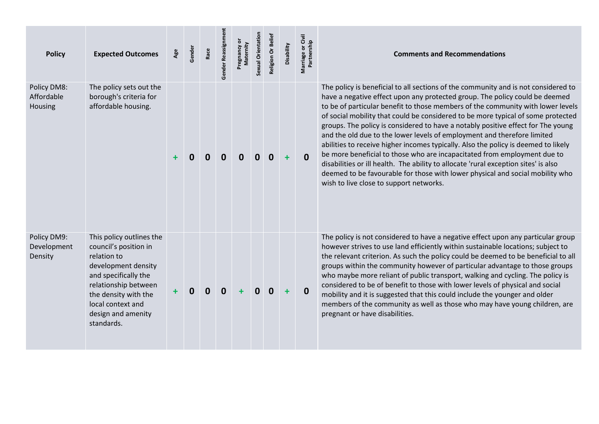| <b>Policy</b>                         | <b>Expected Outcomes</b>                                                                                                                                                                                                 | Age | Gender | Race | Gender Reassignment | Pregnancy or<br>Maternity | Sexual Orientation | Religion Or Belief | Disability | Marriage or Civil<br>Partnership | <b>Comments and Recommendations</b>                                                                                                                                                                                                                                                                                                                                                                                                                                                                                                                                                                                                                                                                                                                                                                                                                                                          |
|---------------------------------------|--------------------------------------------------------------------------------------------------------------------------------------------------------------------------------------------------------------------------|-----|--------|------|---------------------|---------------------------|--------------------|--------------------|------------|----------------------------------|----------------------------------------------------------------------------------------------------------------------------------------------------------------------------------------------------------------------------------------------------------------------------------------------------------------------------------------------------------------------------------------------------------------------------------------------------------------------------------------------------------------------------------------------------------------------------------------------------------------------------------------------------------------------------------------------------------------------------------------------------------------------------------------------------------------------------------------------------------------------------------------------|
| Policy DM8:<br>Affordable<br>Housing  | The policy sets out the<br>borough's criteria for<br>affordable housing.                                                                                                                                                 |     |        |      | O                   |                           |                    | 0                  | $\ddot{}$  | $\mathbf{0}$                     | The policy is beneficial to all sections of the community and is not considered to<br>have a negative effect upon any protected group. The policy could be deemed<br>to be of particular benefit to those members of the community with lower levels<br>of social mobility that could be considered to be more typical of some protected<br>groups. The policy is considered to have a notably positive effect for The young<br>and the old due to the lower levels of employment and therefore limited<br>abilities to receive higher incomes typically. Also the policy is deemed to likely<br>be more beneficial to those who are incapacitated from employment due to<br>disabilities or ill health. The ability to allocate 'rural exception sites' is also<br>deemed to be favourable for those with lower physical and social mobility who<br>wish to live close to support networks. |
| Policy DM9:<br>Development<br>Density | This policy outlines the<br>council's position in<br>relation to<br>development density<br>and specifically the<br>relationship between<br>the density with the<br>local context and<br>design and amenity<br>standards. |     | 0      | 0    | $\mathbf 0$         | ÷                         | $\mathbf{0}$       | $\mathbf{0}$       | $\ddot{}$  | $\mathbf 0$                      | The policy is not considered to have a negative effect upon any particular group<br>however strives to use land efficiently within sustainable locations; subject to<br>the relevant criterion. As such the policy could be deemed to be beneficial to all<br>groups within the community however of particular advantage to those groups<br>who maybe more reliant of public transport, walking and cycling. The policy is<br>considered to be of benefit to those with lower levels of physical and social<br>mobility and it is suggested that this could include the younger and older<br>members of the community as well as those who may have young children, are<br>pregnant or have disabilities.                                                                                                                                                                                   |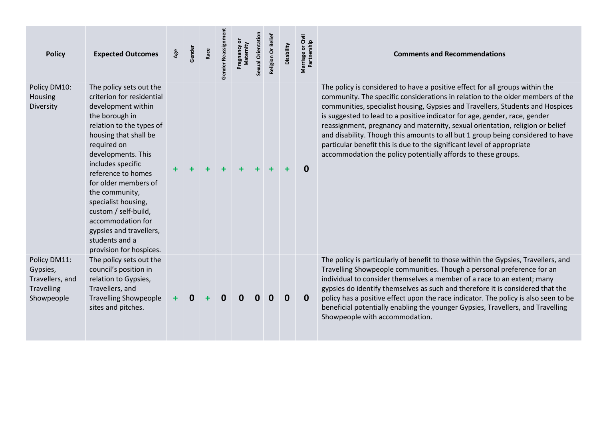| <b>Policy</b>                                                                  | <b>Expected Outcomes</b>                                                                                                                                                                                                                                                                                                                                                                                                | Age       | Gender   | Race | Gender Reassignme | Pregnancy or<br>Maternity | Sexual Orientation | Religion Or Belief | Disability | Marriage or Civil<br>Partnership | <b>Comments and Recommendations</b>                                                                                                                                                                                                                                                                                                                                                                                                                                                                                                                                                                                                           |
|--------------------------------------------------------------------------------|-------------------------------------------------------------------------------------------------------------------------------------------------------------------------------------------------------------------------------------------------------------------------------------------------------------------------------------------------------------------------------------------------------------------------|-----------|----------|------|-------------------|---------------------------|--------------------|--------------------|------------|----------------------------------|-----------------------------------------------------------------------------------------------------------------------------------------------------------------------------------------------------------------------------------------------------------------------------------------------------------------------------------------------------------------------------------------------------------------------------------------------------------------------------------------------------------------------------------------------------------------------------------------------------------------------------------------------|
| Policy DM10:<br>Housing<br>Diversity                                           | The policy sets out the<br>criterion for residential<br>development within<br>the borough in<br>relation to the types of<br>housing that shall be<br>required on<br>developments. This<br>includes specific<br>reference to homes<br>for older members of<br>the community,<br>specialist housing,<br>custom / self-build,<br>accommodation for<br>gypsies and travellers,<br>students and a<br>provision for hospices. |           |          |      |                   | $\ddot{}$                 |                    |                    | ╋          | $\bf{0}$                         | The policy is considered to have a positive effect for all groups within the<br>community. The specific considerations in relation to the older members of the<br>communities, specialist housing, Gypsies and Travellers, Students and Hospices<br>is suggested to lead to a positive indicator for age, gender, race, gender<br>reassignment, pregnancy and maternity, sexual orientation, religion or belief<br>and disability. Though this amounts to all but 1 group being considered to have<br>particular benefit this is due to the significant level of appropriate<br>accommodation the policy potentially affords to these groups. |
| Policy DM11:<br>Gypsies,<br>Travellers, and<br><b>Travelling</b><br>Showpeople | The policy sets out the<br>council's position in<br>relation to Gypsies,<br>Travellers, and<br><b>Travelling Showpeople</b><br>sites and pitches.                                                                                                                                                                                                                                                                       | $\ddot{}$ | $\bf{0}$ |      | $\mathbf 0$       | 0                         | O                  | 0                  | 0          | 0                                | The policy is particularly of benefit to those within the Gypsies, Travellers, and<br>Travelling Showpeople communities. Though a personal preference for an<br>individual to consider themselves a member of a race to an extent; many<br>gypsies do identify themselves as such and therefore it is considered that the<br>policy has a positive effect upon the race indicator. The policy is also seen to be<br>beneficial potentially enabling the younger Gypsies, Travellers, and Travelling<br>Showpeople with accommodation.                                                                                                         |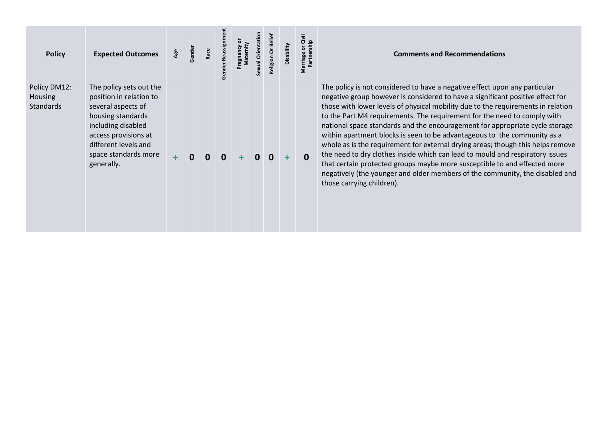| <b>Policy</b>                                      | <b>Expected Outcomes</b>                                                                                                                                                                                  | Age | Gender | Race | Reassignm<br>nder | Maternity<br>Aoueust | Sexual Orientation | Religion Or Belie | Disability | Marriage or Civil<br>Partnership | <b>Comments and Recommendations</b>                                                                                                                                                                                                                                                                                                                                                                                                                                                                                                                                                                                                                                                                                                                                                                                                                    |
|----------------------------------------------------|-----------------------------------------------------------------------------------------------------------------------------------------------------------------------------------------------------------|-----|--------|------|-------------------|----------------------|--------------------|-------------------|------------|----------------------------------|--------------------------------------------------------------------------------------------------------------------------------------------------------------------------------------------------------------------------------------------------------------------------------------------------------------------------------------------------------------------------------------------------------------------------------------------------------------------------------------------------------------------------------------------------------------------------------------------------------------------------------------------------------------------------------------------------------------------------------------------------------------------------------------------------------------------------------------------------------|
| Policy DM12:<br><b>Housing</b><br><b>Standards</b> | The policy sets out the<br>position in relation to<br>several aspects of<br>housing standards<br>including disabled<br>access provisions at<br>different levels and<br>space standards more<br>generally. | ÷   | 0      |      | 0                 |                      |                    |                   |            | $\Omega$                         | The policy is not considered to have a negative effect upon any particular<br>negative group however is considered to have a significant positive effect for<br>those with lower levels of physical mobility due to the requirements in relation<br>to the Part M4 requirements. The requirement for the need to comply with<br>national space standards and the encouragement for appropriate cycle storage<br>within apartment blocks is seen to be advantageous to the community as a<br>whole as is the requirement for external drying areas; though this helps remove<br>the need to dry clothes inside which can lead to mould and respiratory issues<br>that certain protected groups maybe more susceptible to and effected more<br>negatively (the younger and older members of the community, the disabled and<br>those carrying children). |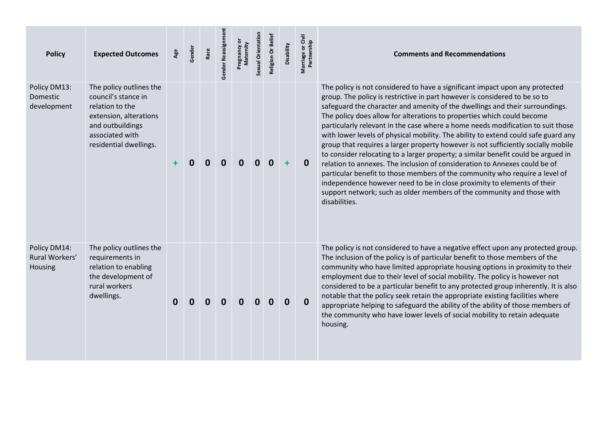| <b>Policy</b>                             | <b>Expected Outcomes</b>                                                                                                                                     | Age | Gender | Race        | Gender Reassignme | ō<br>Maternity<br>Pregnancy | Sexual Orientation | Religion Or Belief | Disability  | Marriage or Civil<br>Partnership | <b>Comments and Recommendations</b>                                                                                                                                                                                                                                                                                                                                                                                                                                                                                                                                                                                                                                                                                                                                                                                                                                                                                                                                                                        |
|-------------------------------------------|--------------------------------------------------------------------------------------------------------------------------------------------------------------|-----|--------|-------------|-------------------|-----------------------------|--------------------|--------------------|-------------|----------------------------------|------------------------------------------------------------------------------------------------------------------------------------------------------------------------------------------------------------------------------------------------------------------------------------------------------------------------------------------------------------------------------------------------------------------------------------------------------------------------------------------------------------------------------------------------------------------------------------------------------------------------------------------------------------------------------------------------------------------------------------------------------------------------------------------------------------------------------------------------------------------------------------------------------------------------------------------------------------------------------------------------------------|
| Policy DM13:<br>Domestic<br>development   | The policy outlines the<br>council's stance in<br>relation to the<br>extension, alterations<br>and outbuildings<br>associated with<br>residential dwellings. |     |        | 0           | 0                 | Ω                           |                    |                    | ÷           | $\mathbf 0$                      | The policy is not considered to have a significant impact upon any protected<br>group. The policy is restrictive in part however is considered to be so to<br>safeguard the character and amenity of the dwellings and their surroundings.<br>The policy does allow for alterations to properties which could become<br>particularly relevant in the case where a home needs modification to suit those<br>with lower levels of physical mobility. The ability to extend could safe guard any<br>group that requires a larger property however is not sufficiently socially mobile<br>to consider relocating to a larger property; a similar benefit could be argued in<br>relation to annexes. The inclusion of consideration to Annexes could be of<br>particular benefit to those members of the community who require a level of<br>independence however need to be in close proximity to elements of their<br>support network; such as older members of the community and those with<br>disabilities. |
| Policy DM14:<br>Rural Workers'<br>Housing | The policy outlines the<br>requirements in<br>relation to enabling<br>the development of<br>rural workers<br>dwellings.                                      | 0   | O      | $\mathbf 0$ | 0                 | $\mathbf{0}$                | $\mathbf{0}$       | $\mathbf{0}$       | $\mathbf 0$ | 0                                | The policy is not considered to have a negative effect upon any protected group.<br>The inclusion of the policy is of particular benefit to those members of the<br>community who have limited appropriate housing options in proximity to their<br>employment due to their level of social mobility. The policy is however not<br>considered to be a particular benefit to any protected group inherently. It is also<br>notable that the policy seek retain the appropriate existing facilities where<br>appropriate helping to safeguard the ability of the ability of those members of<br>the community who have lower levels of social mobility to retain adequate<br>housing.                                                                                                                                                                                                                                                                                                                        |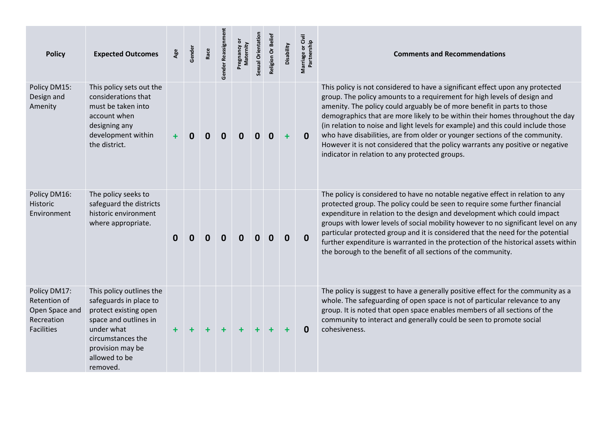| <b>Policy</b>                                                                     | <b>Expected Outcomes</b>                                                                                                                                                                 | Age      | Gender | Race | Gender Reassignmen | Pregnancy or<br>Maternity | Sexual Orientation | Religion Or Belief | Disability       | Marriage or Civil<br>Partnership | <b>Comments and Recommendations</b>                                                                                                                                                                                                                                                                                                                                                                                                                                                                                                                                                                                          |
|-----------------------------------------------------------------------------------|------------------------------------------------------------------------------------------------------------------------------------------------------------------------------------------|----------|--------|------|--------------------|---------------------------|--------------------|--------------------|------------------|----------------------------------|------------------------------------------------------------------------------------------------------------------------------------------------------------------------------------------------------------------------------------------------------------------------------------------------------------------------------------------------------------------------------------------------------------------------------------------------------------------------------------------------------------------------------------------------------------------------------------------------------------------------------|
| Policy DM15:<br>Design and<br>Amenity                                             | This policy sets out the<br>considerations that<br>must be taken into<br>account when<br>designing any<br>development within<br>the district.                                            |          | 0      | 0    | 0                  | 0                         | 0                  | 0                  | $\ddot{}$        | $\mathbf{0}$                     | This policy is not considered to have a significant effect upon any protected<br>group. The policy amounts to a requirement for high levels of design and<br>amenity. The policy could arguably be of more benefit in parts to those<br>demographics that are more likely to be within their homes throughout the day<br>(in relation to noise and light levels for example) and this could include those<br>who have disabilities, are from older or younger sections of the community.<br>However it is not considered that the policy warrants any positive or negative<br>indicator in relation to any protected groups. |
| Policy DM16:<br>Historic<br>Environment                                           | The policy seeks to<br>safeguard the districts<br>historic environment<br>where appropriate.                                                                                             | $\bf{0}$ | 0      | 0    | $\bf{0}$           | $\bf{0}$                  | $\mathbf{0}$       | $\mathbf{0}$       | $\boldsymbol{0}$ | $\mathbf 0$                      | The policy is considered to have no notable negative effect in relation to any<br>protected group. The policy could be seen to require some further financial<br>expenditure in relation to the design and development which could impact<br>groups with lower levels of social mobility however to no significant level on any<br>particular protected group and it is considered that the need for the potential<br>further expenditure is warranted in the protection of the historical assets within<br>the borough to the benefit of all sections of the community.                                                     |
| Policy DM17:<br>Retention of<br>Open Space and<br>Recreation<br><b>Facilities</b> | This policy outlines the<br>safeguards in place to<br>protect existing open<br>space and outlines in<br>under what<br>circumstances the<br>provision may be<br>allowed to be<br>removed. |          |        |      |                    |                           |                    |                    | ٠                | $\Omega$                         | The policy is suggest to have a generally positive effect for the community as a<br>whole. The safeguarding of open space is not of particular relevance to any<br>group. It is noted that open space enables members of all sections of the<br>community to interact and generally could be seen to promote social<br>cohesiveness.                                                                                                                                                                                                                                                                                         |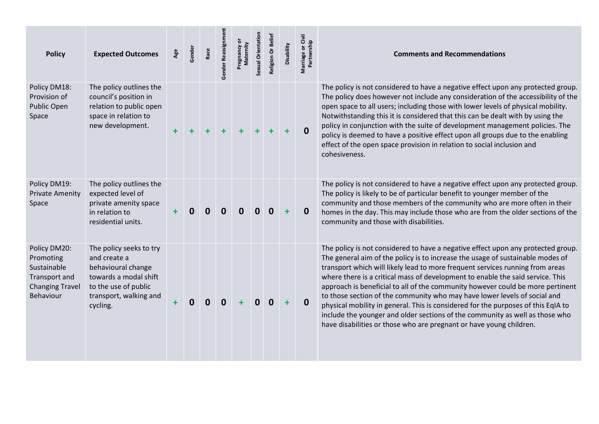| <b>Policy</b>                                                                                    | <b>Expected Outcomes</b>                                                                                                                             | Age       | Gender | Race        | Gender Reassignm | ŏ<br>Maternity | Sexual Orientation | Religion Or Beliet | Disability | Marriage or Civil<br>Partnership | <b>Comments and Recommendations</b>                                                                                                                                                                                                                                                                                                                                                                                                                                                                                                                                                                                                                                                                                                              |
|--------------------------------------------------------------------------------------------------|------------------------------------------------------------------------------------------------------------------------------------------------------|-----------|--------|-------------|------------------|----------------|--------------------|--------------------|------------|----------------------------------|--------------------------------------------------------------------------------------------------------------------------------------------------------------------------------------------------------------------------------------------------------------------------------------------------------------------------------------------------------------------------------------------------------------------------------------------------------------------------------------------------------------------------------------------------------------------------------------------------------------------------------------------------------------------------------------------------------------------------------------------------|
| Policy DM18:<br>Provision of<br>Public Open<br>Space                                             | The policy outlines the<br>council's position in<br>relation to public open<br>space in relation to<br>new development.                              |           |        |             | $\ddot{}$        |                |                    |                    |            | $\mathbf 0$                      | The policy is not considered to have a negative effect upon any protected group.<br>The policy does however not include any consideration of the accessibility of the<br>open space to all users; including those with lower levels of physical mobility.<br>Notwithstanding this it is considered that this can be dealt with by using the<br>policy in conjunction with the suite of development management policies. The<br>policy is deemed to have a positive effect upon all groups due to the enabling<br>effect of the open space provision in relation to social inclusion and<br>cohesiveness.                                                                                                                                         |
| Policy DM19:<br><b>Private Amenity</b><br>Space                                                  | The policy outlines the<br>expected level of<br>private amenity space<br>in relation to<br>residential units.                                        |           |        | $\mathbf 0$ | $\mathbf 0$      | <sup>0</sup>   | <sup>n</sup>       | 0                  | $\ddot{}$  | $\mathbf 0$                      | The policy is not considered to have a negative effect upon any protected group.<br>The policy is likely to be of particular benefit to younger member of the<br>community and those members of the community who are more often in their<br>homes in the day. This may include those who are from the older sections of the<br>community and those with disabilities.                                                                                                                                                                                                                                                                                                                                                                           |
| Policy DM20:<br>Promoting<br>Sustainable<br>Transport and<br><b>Changing Travel</b><br>Behaviour | The policy seeks to try<br>and create a<br>behavioural change<br>towards a modal shift<br>to the use of public<br>transport, walking and<br>cycling. | $\ddot{}$ | 0      | 0           | $\mathbf 0$      | ÷              | $\mathbf{0}$       | $\Omega$           | ÷          | $\mathbf{0}$                     | The policy is not considered to have a negative effect upon any protected group.<br>The general aim of the policy is to increase the usage of sustainable modes of<br>transport which will likely lead to more frequent services running from areas<br>where there is a critical mass of development to enable the said service. This<br>approach is beneficial to all of the community however could be more pertinent<br>to those section of the community who may have lower levels of social and<br>physical mobility in general. This is considered for the purposes of this EqIA to<br>include the younger and older sections of the community as well as those who<br>have disabilities or those who are pregnant or have young children. |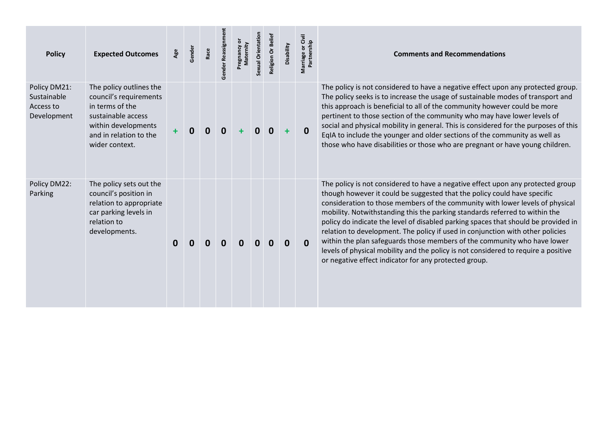| <b>Policy</b>                                           | <b>Expected Outcomes</b>                                                                                                                                      | Age | Gender       | Race | Gender Reassignm | Maternity<br>Pregnancy | Sexual Orientation | Religion Or Belief | Disability | Givil<br>Marriage or Civ<br>Partnership | <b>Comments and Recommendations</b>                                                                                                                                                                                                                                                                                                                                                                                                                                                                                                                                                                                                                                                                                            |
|---------------------------------------------------------|---------------------------------------------------------------------------------------------------------------------------------------------------------------|-----|--------------|------|------------------|------------------------|--------------------|--------------------|------------|-----------------------------------------|--------------------------------------------------------------------------------------------------------------------------------------------------------------------------------------------------------------------------------------------------------------------------------------------------------------------------------------------------------------------------------------------------------------------------------------------------------------------------------------------------------------------------------------------------------------------------------------------------------------------------------------------------------------------------------------------------------------------------------|
| Policy DM21:<br>Sustainable<br>Access to<br>Development | The policy outlines the<br>council's requirements<br>in terms of the<br>sustainable access<br>within developments<br>and in relation to the<br>wider context. |     | $\mathbf{0}$ | 0    | 0                |                        | 0                  | 0                  |            | $\Omega$                                | The policy is not considered to have a negative effect upon any protected group.<br>The policy seeks is to increase the usage of sustainable modes of transport and<br>this approach is beneficial to all of the community however could be more<br>pertinent to those section of the community who may have lower levels of<br>social and physical mobility in general. This is considered for the purposes of this<br>EqIA to include the younger and older sections of the community as well as<br>those who have disabilities or those who are pregnant or have young children.                                                                                                                                            |
| Policy DM22:<br>Parking                                 | The policy sets out the<br>council's position in<br>relation to appropriate<br>car parking levels in<br>relation to<br>developments.                          | 0   | $\Omega$     | O    | 0                | <sup>n</sup>           | 0                  | O.                 | 0          | $\bf{0}$                                | The policy is not considered to have a negative effect upon any protected group<br>though however it could be suggested that the policy could have specific<br>consideration to those members of the community with lower levels of physical<br>mobility. Notwithstanding this the parking standards referred to within the<br>policy do indicate the level of disabled parking spaces that should be provided in<br>relation to development. The policy if used in conjunction with other policies<br>within the plan safeguards those members of the community who have lower<br>levels of physical mobility and the policy is not considered to require a positive<br>or negative effect indicator for any protected group. |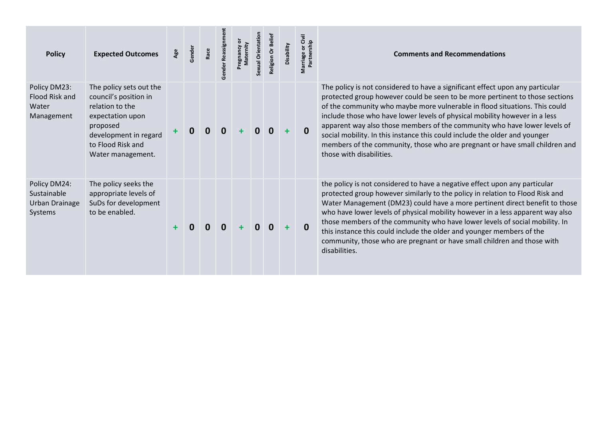| <b>Policy</b>                                            | <b>Expected Outcomes</b>                                                                                                                                               | Age | Gender | Race | Reassign<br>Gender | emity | Sexual Orientation | Religion Or Beliet | Disability | Marriage or Civil<br>Partnership | <b>Comments and Recommendations</b>                                                                                                                                                                                                                                                                                                                                                                                                                                                                                                                                                             |
|----------------------------------------------------------|------------------------------------------------------------------------------------------------------------------------------------------------------------------------|-----|--------|------|--------------------|-------|--------------------|--------------------|------------|----------------------------------|-------------------------------------------------------------------------------------------------------------------------------------------------------------------------------------------------------------------------------------------------------------------------------------------------------------------------------------------------------------------------------------------------------------------------------------------------------------------------------------------------------------------------------------------------------------------------------------------------|
| Policy DM23:<br>Flood Risk and<br>Water<br>Management    | The policy sets out the<br>council's position in<br>relation to the<br>expectation upon<br>proposed<br>development in regard<br>to Flood Risk and<br>Water management. |     |        | 0    | 0                  |       |                    | 0                  |            | 0                                | The policy is not considered to have a significant effect upon any particular<br>protected group however could be seen to be more pertinent to those sections<br>of the community who maybe more vulnerable in flood situations. This could<br>include those who have lower levels of physical mobility however in a less<br>apparent way also those members of the community who have lower levels of<br>social mobility. In this instance this could include the older and younger<br>members of the community, those who are pregnant or have small children and<br>those with disabilities. |
| Policy DM24:<br>Sustainable<br>Urban Drainage<br>Systems | The policy seeks the<br>appropriate levels of<br>SuDs for development<br>to be enabled.                                                                                |     |        |      |                    |       |                    |                    |            | $\Omega$                         | the policy is not considered to have a negative effect upon any particular<br>protected group however similarly to the policy in relation to Flood Risk and<br>Water Management (DM23) could have a more pertinent direct benefit to those<br>who have lower levels of physical mobility however in a less apparent way also<br>those members of the community who have lower levels of social mobility. In<br>this instance this could include the older and younger members of the<br>community, those who are pregnant or have small children and those with<br>disabilities.                |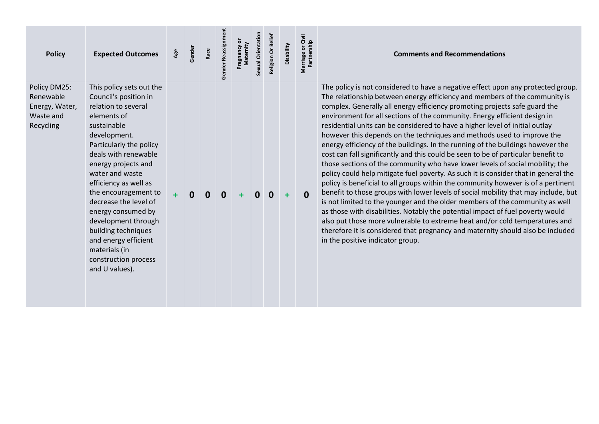| <b>Policy</b>                                                         | <b>Expected Outcomes</b>                                                                                                                                                                                                                                                                                                                                                                                                                             | Age | Gender | Race | Gender Reassignmen | Pregnancy or<br>Maternity | Sexual Orientation | Religion Or Beliet | Disability | Marriage or Civil<br>Partnership | <b>Comments and Recommendations</b>                                                                                                                                                                                                                                                                                                                                                                                                                                                                                                                                                                                                                                                                                                                                                                                                                                                                                                                                                                                                                                                                                                                                                                                                                                                                                                                                                    |
|-----------------------------------------------------------------------|------------------------------------------------------------------------------------------------------------------------------------------------------------------------------------------------------------------------------------------------------------------------------------------------------------------------------------------------------------------------------------------------------------------------------------------------------|-----|--------|------|--------------------|---------------------------|--------------------|--------------------|------------|----------------------------------|----------------------------------------------------------------------------------------------------------------------------------------------------------------------------------------------------------------------------------------------------------------------------------------------------------------------------------------------------------------------------------------------------------------------------------------------------------------------------------------------------------------------------------------------------------------------------------------------------------------------------------------------------------------------------------------------------------------------------------------------------------------------------------------------------------------------------------------------------------------------------------------------------------------------------------------------------------------------------------------------------------------------------------------------------------------------------------------------------------------------------------------------------------------------------------------------------------------------------------------------------------------------------------------------------------------------------------------------------------------------------------------|
| Policy DM25:<br>Renewable<br>Energy, Water,<br>Waste and<br>Recycling | This policy sets out the<br>Council's position in<br>relation to several<br>elements of<br>sustainable<br>development.<br>Particularly the policy<br>deals with renewable<br>energy projects and<br>water and waste<br>efficiency as well as<br>the encouragement to<br>decrease the level of<br>energy consumed by<br>development through<br>building techniques<br>and energy efficient<br>materials (in<br>construction process<br>and U values). | ÷   | O      |      | 0                  |                           |                    | $\bf{0}$           |            | $\mathbf{0}$                     | The policy is not considered to have a negative effect upon any protected group.<br>The relationship between energy efficiency and members of the community is<br>complex. Generally all energy efficiency promoting projects safe guard the<br>environment for all sections of the community. Energy efficient design in<br>residential units can be considered to have a higher level of initial outlay<br>however this depends on the techniques and methods used to improve the<br>energy efficiency of the buildings. In the running of the buildings however the<br>cost can fall significantly and this could be seen to be of particular benefit to<br>those sections of the community who have lower levels of social mobility; the<br>policy could help mitigate fuel poverty. As such it is consider that in general the<br>policy is beneficial to all groups within the community however is of a pertinent<br>benefit to those groups with lower levels of social mobility that may include, but<br>is not limited to the younger and the older members of the community as well<br>as those with disabilities. Notably the potential impact of fuel poverty would<br>also put those more vulnerable to extreme heat and/or cold temperatures and<br>therefore it is considered that pregnancy and maternity should also be included<br>in the positive indicator group. |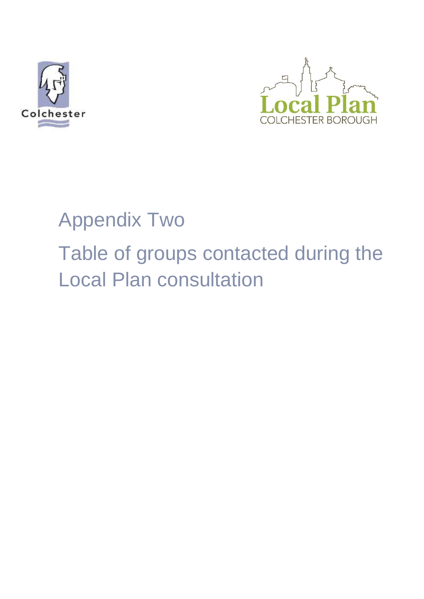



# Appendix Two

Table of groups contacted during the Local Plan consultation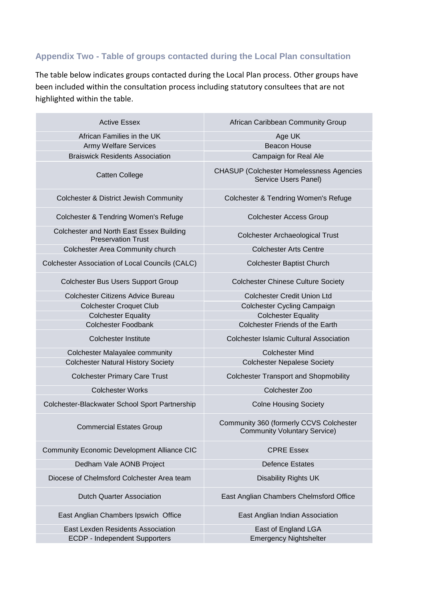## **Appendix Two - Table of groups contacted during the Local Plan consultation**

The table below indicates groups contacted during the Local Plan process. Other groups have been included within the consultation process including statutory consultees that are not highlighted within the table.

| <b>Active Essex</b>                                                   | African Caribbean Community Group                                              |
|-----------------------------------------------------------------------|--------------------------------------------------------------------------------|
| African Families in the UK                                            | Age UK                                                                         |
| <b>Army Welfare Services</b>                                          | <b>Beacon House</b>                                                            |
| <b>Braiswick Residents Association</b>                                | Campaign for Real Ale                                                          |
| <b>Catten College</b>                                                 | <b>CHASUP (Colchester Homelessness Agencies</b><br>Service Users Panel)        |
| <b>Colchester &amp; District Jewish Community</b>                     | Colchester & Tendring Women's Refuge                                           |
| Colchester & Tendring Women's Refuge                                  | <b>Colchester Access Group</b>                                                 |
| Colchester and North East Essex Building<br><b>Preservation Trust</b> | <b>Colchester Archaeological Trust</b>                                         |
| Colchester Area Community church                                      | <b>Colchester Arts Centre</b>                                                  |
| Colchester Association of Local Councils (CALC)                       | <b>Colchester Baptist Church</b>                                               |
| <b>Colchester Bus Users Support Group</b>                             | <b>Colchester Chinese Culture Society</b>                                      |
| <b>Colchester Citizens Advice Bureau</b>                              | <b>Colchester Credit Union Ltd</b>                                             |
| <b>Colchester Croquet Club</b>                                        | Colchester Cycling Campaign                                                    |
| <b>Colchester Equality</b>                                            | <b>Colchester Equality</b>                                                     |
| <b>Colchester Foodbank</b>                                            | Colchester Friends of the Earth                                                |
| <b>Colchester Institute</b>                                           | <b>Colchester Islamic Cultural Association</b>                                 |
| Colchester Malayalee community                                        | <b>Colchester Mind</b>                                                         |
| <b>Colchester Natural History Society</b>                             | <b>Colchester Nepalese Society</b>                                             |
| <b>Colchester Primary Care Trust</b>                                  | <b>Colchester Transport and Shopmobility</b>                                   |
| <b>Colchester Works</b>                                               | Colchester Zoo                                                                 |
| Colchester-Blackwater School Sport Partnership                        | <b>Colne Housing Society</b>                                                   |
| <b>Commercial Estates Group</b>                                       | Community 360 (formerly CCVS Colchester<br><b>Community Voluntary Service)</b> |
| <b>Community Economic Development Alliance CIC</b>                    | <b>CPRE Essex</b>                                                              |
| Dedham Vale AONB Project                                              | <b>Defence Estates</b>                                                         |
| Diocese of Chelmsford Colchester Area team                            | <b>Disability Rights UK</b>                                                    |
| <b>Dutch Quarter Association</b>                                      | East Anglian Chambers Chelmsford Office                                        |
| East Anglian Chambers Ipswich Office                                  | East Anglian Indian Association                                                |
| East Lexden Residents Association                                     | East of England LGA                                                            |
| <b>ECDP - Independent Supporters</b>                                  | <b>Emergency Nightshelter</b>                                                  |